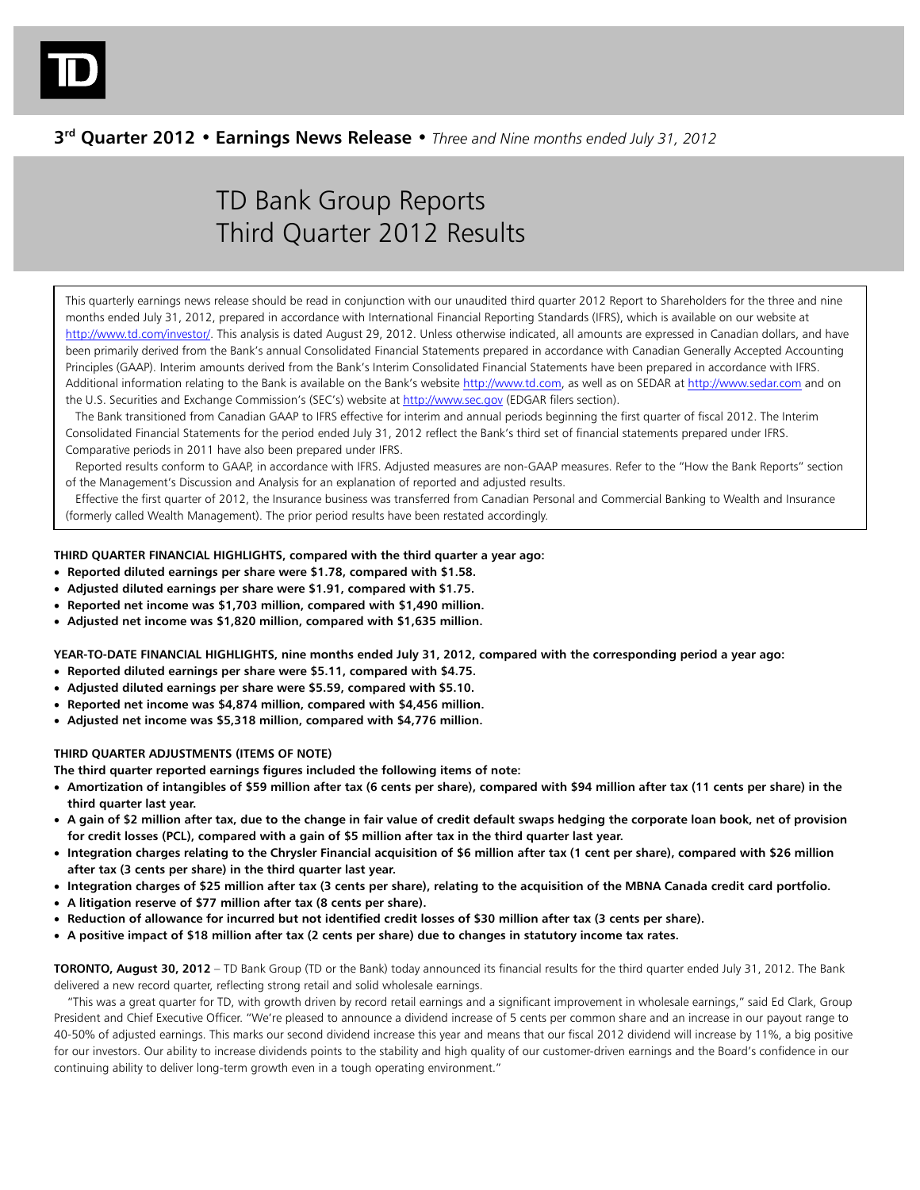

# **3rd Quarter 2012 • Earnings News Release •** *Three and Nine months ended July 31, 2012*

# TD Bank Group Reports Third Quarter 2012 Results

This quarterly earnings news release should be read in conjunction with our unaudited third quarter 2012 Report to Shareholders for the three and nine months ended July 31, 2012, prepared in accordance with International Financial Reporting Standards (IFRS), which is available on our website at http://www.td.com/investor/. This analysis is dated August 29, 2012. Unless otherwise indicated, all amounts are expressed in Canadian dollars, and have been primarily derived from the Bank's annual Consolidated Financial Statements prepared in accordance with Canadian Generally Accepted Accounting Principles (GAAP). Interim amounts derived from the Bank's Interim Consolidated Financial Statements have been prepared in accordance with IFRS. Additional information relating to the Bank is available on the Bank's website http://www.td.com, as well as on SEDAR at http://www.sedar.com and on the U.S. Securities and Exchange Commission's (SEC's) website at http://www.sec.gov (EDGAR filers section).

 The Bank transitioned from Canadian GAAP to IFRS effective for interim and annual periods beginning the first quarter of fiscal 2012. The Interim Consolidated Financial Statements for the period ended July 31, 2012 reflect the Bank's third set of financial statements prepared under IFRS. Comparative periods in 2011 have also been prepared under IFRS.

 Reported results conform to GAAP, in accordance with IFRS. Adjusted measures are non-GAAP measures. Refer to the "How the Bank Reports" section of the Management's Discussion and Analysis for an explanation of reported and adjusted results.

 Effective the first quarter of 2012, the Insurance business was transferred from Canadian Personal and Commercial Banking to Wealth and Insurance (formerly called Wealth Management). The prior period results have been restated accordingly.

# **THIRD QUARTER FINANCIAL HIGHLIGHTS, compared with the third quarter a year ago:**

- **Reported diluted earnings per share were \$1.78, compared with \$1.58.**
- **Adjusted diluted earnings per share were \$1.91, compared with \$1.75.**
- **Reported net income was \$1,703 million, compared with \$1,490 million.**
- **Adjusted net income was \$1,820 million, compared with \$1,635 million.**

**YEAR-TO-DATE FINANCIAL HIGHLIGHTS, nine months ended July 31, 2012, compared with the corresponding period a year ago:** 

- **Reported diluted earnings per share were \$5.11, compared with \$4.75.**
- **Adjusted diluted earnings per share were \$5.59, compared with \$5.10.**
- **Reported net income was \$4,874 million, compared with \$4,456 million.**
- **Adjusted net income was \$5,318 million, compared with \$4,776 million.**

# **THIRD QUARTER ADJUSTMENTS (ITEMS OF NOTE)**

**The third quarter reported earnings figures included the following items of note:** 

- **Amortization of intangibles of \$59 million after tax (6 cents per share), compared with \$94 million after tax (11 cents per share) in the third quarter last year.**
- **A gain of \$2 million after tax, due to the change in fair value of credit default swaps hedging the corporate loan book, net of provision for credit losses (PCL), compared with a gain of \$5 million after tax in the third quarter last year.**
- **Integration charges relating to the Chrysler Financial acquisition of \$6 million after tax (1 cent per share), compared with \$26 million after tax (3 cents per share) in the third quarter last year.**
- **Integration charges of \$25 million after tax (3 cents per share), relating to the acquisition of the MBNA Canada credit card portfolio.**
- **A litigation reserve of \$77 million after tax (8 cents per share).**
- **Reduction of allowance for incurred but not identified credit losses of \$30 million after tax (3 cents per share).**
- **A positive impact of \$18 million after tax (2 cents per share) due to changes in statutory income tax rates.**

**TORONTO, August 30, 2012** – TD Bank Group (TD or the Bank) today announced its financial results for the third quarter ended July 31, 2012. The Bank delivered a new record quarter, reflecting strong retail and solid wholesale earnings.

 "This was a great quarter for TD, with growth driven by record retail earnings and a significant improvement in wholesale earnings," said Ed Clark, Group President and Chief Executive Officer. "We're pleased to announce a dividend increase of 5 cents per common share and an increase in our payout range to 40-50% of adjusted earnings. This marks our second dividend increase this year and means that our fiscal 2012 dividend will increase by 11%, a big positive for our investors. Our ability to increase dividends points to the stability and high quality of our customer-driven earnings and the Board's confidence in our continuing ability to deliver long-term growth even in a tough operating environment."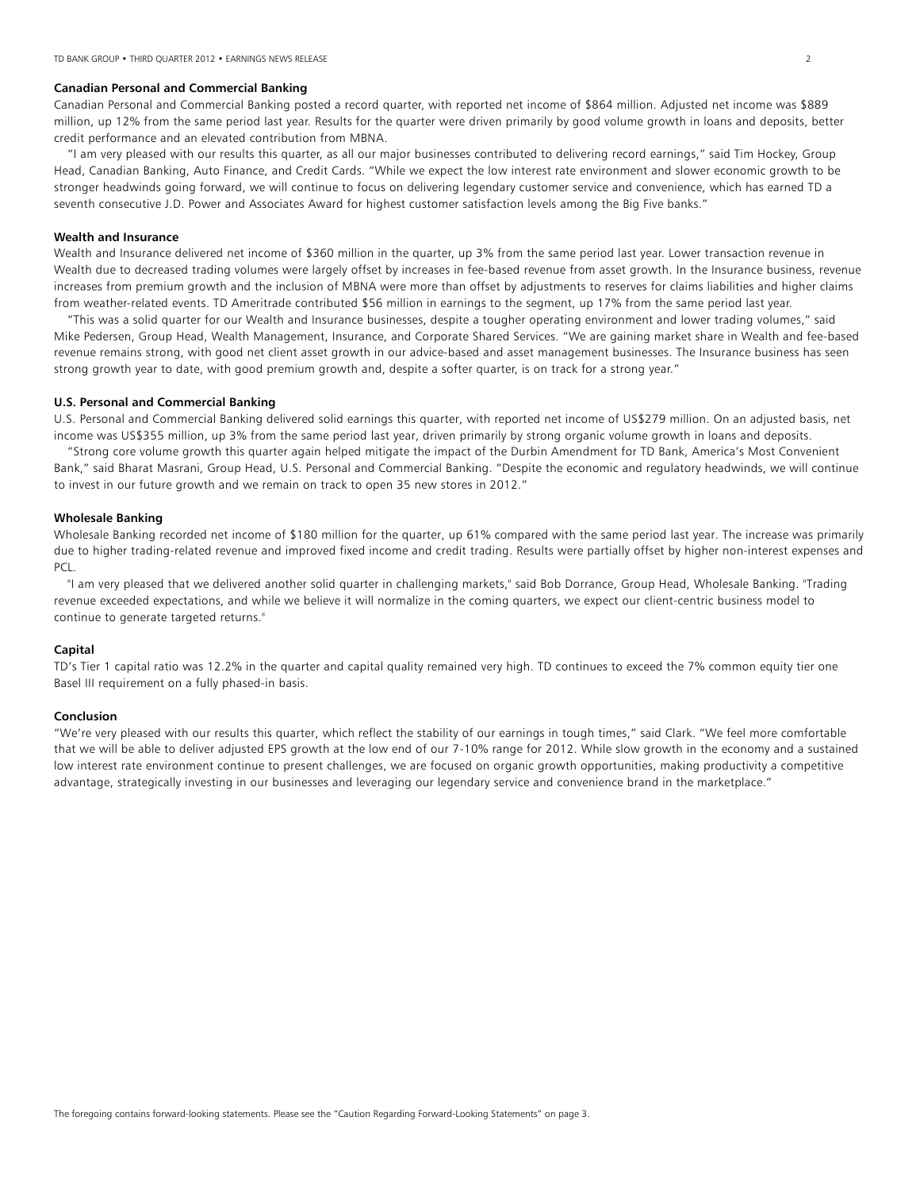#### **Canadian Personal and Commercial Banking**

Canadian Personal and Commercial Banking posted a record quarter, with reported net income of \$864 million. Adjusted net income was \$889 million, up 12% from the same period last year. Results for the quarter were driven primarily by good volume growth in loans and deposits, better credit performance and an elevated contribution from MBNA.

 "I am very pleased with our results this quarter, as all our major businesses contributed to delivering record earnings," said Tim Hockey, Group Head, Canadian Banking, Auto Finance, and Credit Cards. "While we expect the low interest rate environment and slower economic growth to be stronger headwinds going forward, we will continue to focus on delivering legendary customer service and convenience, which has earned TD a seventh consecutive J.D. Power and Associates Award for highest customer satisfaction levels among the Big Five banks."

#### **Wealth and Insurance**

Wealth and Insurance delivered net income of \$360 million in the quarter, up 3% from the same period last year. Lower transaction revenue in Wealth due to decreased trading volumes were largely offset by increases in fee-based revenue from asset growth. In the Insurance business, revenue increases from premium growth and the inclusion of MBNA were more than offset by adjustments to reserves for claims liabilities and higher claims from weather-related events. TD Ameritrade contributed \$56 million in earnings to the segment, up 17% from the same period last year.

 "This was a solid quarter for our Wealth and Insurance businesses, despite a tougher operating environment and lower trading volumes," said Mike Pedersen, Group Head, Wealth Management, Insurance, and Corporate Shared Services. "We are gaining market share in Wealth and fee-based revenue remains strong, with good net client asset growth in our advice-based and asset management businesses. The Insurance business has seen strong growth year to date, with good premium growth and, despite a softer quarter, is on track for a strong year."

#### **U.S. Personal and Commercial Banking**

U.S. Personal and Commercial Banking delivered solid earnings this quarter, with reported net income of US\$279 million. On an adjusted basis, net income was US\$355 million, up 3% from the same period last year, driven primarily by strong organic volume growth in loans and deposits.

 "Strong core volume growth this quarter again helped mitigate the impact of the Durbin Amendment for TD Bank, America's Most Convenient Bank," said Bharat Masrani, Group Head, U.S. Personal and Commercial Banking. "Despite the economic and regulatory headwinds, we will continue to invest in our future growth and we remain on track to open 35 new stores in 2012."

#### **Wholesale Banking**

Wholesale Banking recorded net income of \$180 million for the quarter, up 61% compared with the same period last year. The increase was primarily due to higher trading-related revenue and improved fixed income and credit trading. Results were partially offset by higher non-interest expenses and PCL.

 "I am very pleased that we delivered another solid quarter in challenging markets," said Bob Dorrance, Group Head, Wholesale Banking. "Trading revenue exceeded expectations, and while we believe it will normalize in the coming quarters, we expect our client-centric business model to continue to generate targeted returns."

### **Capital**

TD's Tier 1 capital ratio was 12.2% in the quarter and capital quality remained very high. TD continues to exceed the 7% common equity tier one Basel III requirement on a fully phased-in basis.

#### **Conclusion**

"We're very pleased with our results this quarter, which reflect the stability of our earnings in tough times," said Clark. "We feel more comfortable that we will be able to deliver adjusted EPS growth at the low end of our 7-10% range for 2012. While slow growth in the economy and a sustained low interest rate environment continue to present challenges, we are focused on organic growth opportunities, making productivity a competitive advantage, strategically investing in our businesses and leveraging our legendary service and convenience brand in the marketplace."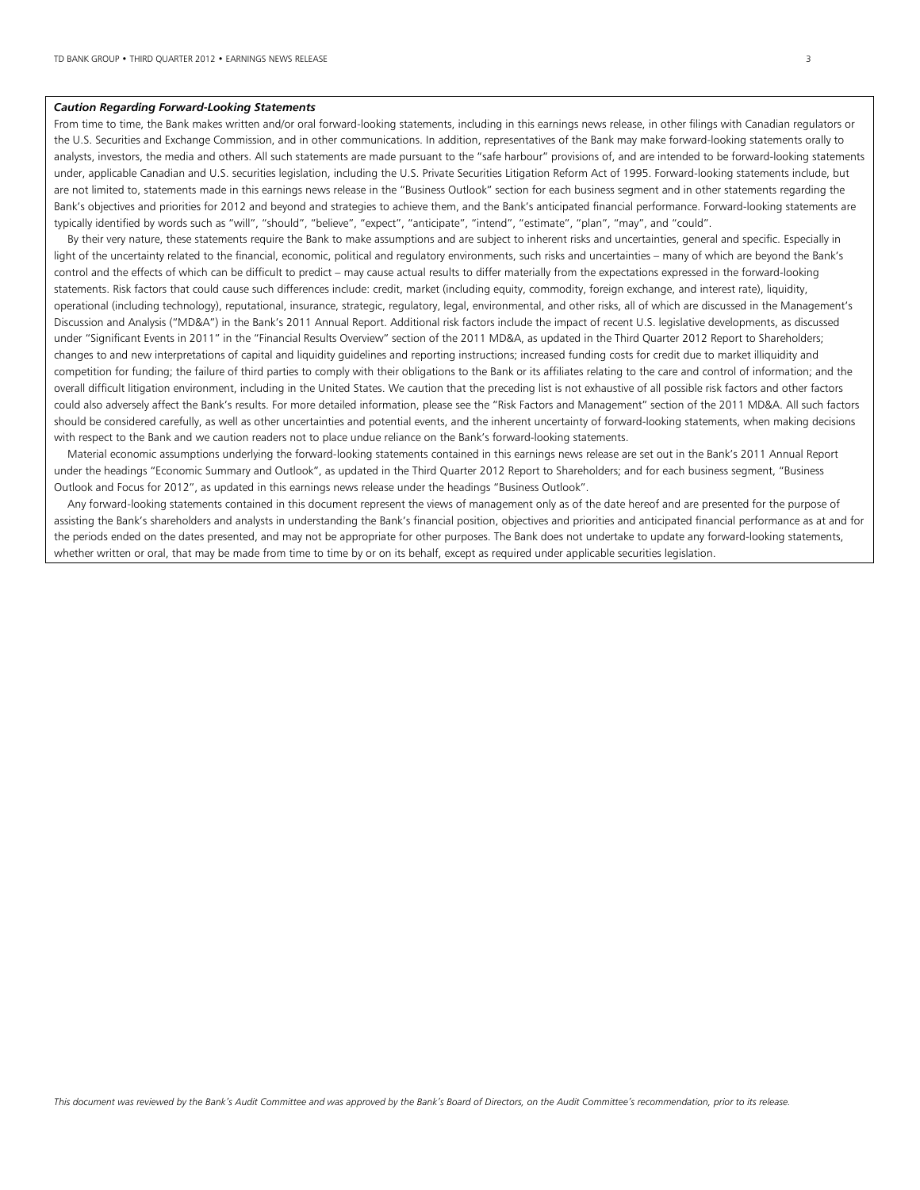#### *Caution Regarding Forward-Looking Statements*

From time to time, the Bank makes written and/or oral forward-looking statements, including in this earnings news release, in other filings with Canadian regulators or the U.S. Securities and Exchange Commission, and in other communications. In addition, representatives of the Bank may make forward-looking statements orally to analysts, investors, the media and others. All such statements are made pursuant to the "safe harbour" provisions of, and are intended to be forward-looking statements under, applicable Canadian and U.S. securities legislation, including the U.S. Private Securities Litigation Reform Act of 1995. Forward-looking statements include, but are not limited to, statements made in this earnings news release in the "Business Outlook" section for each business segment and in other statements regarding the Bank's objectives and priorities for 2012 and beyond and strategies to achieve them, and the Bank's anticipated financial performance. Forward-looking statements are typically identified by words such as "will", "should", "believe", "expect", "anticipate", "intend", "estimate", "plan", "may", and "could".

 By their very nature, these statements require the Bank to make assumptions and are subject to inherent risks and uncertainties, general and specific. Especially in light of the uncertainty related to the financial, economic, political and regulatory environments, such risks and uncertainties – many of which are beyond the Bank's control and the effects of which can be difficult to predict – may cause actual results to differ materially from the expectations expressed in the forward-looking statements. Risk factors that could cause such differences include: credit, market (including equity, commodity, foreign exchange, and interest rate), liquidity, operational (including technology), reputational, insurance, strategic, regulatory, legal, environmental, and other risks, all of which are discussed in the Management's Discussion and Analysis ("MD&A") in the Bank's 2011 Annual Report. Additional risk factors include the impact of recent U.S. legislative developments, as discussed under "Significant Events in 2011" in the "Financial Results Overview" section of the 2011 MD&A, as updated in the Third Quarter 2012 Report to Shareholders; changes to and new interpretations of capital and liquidity guidelines and reporting instructions; increased funding costs for credit due to market illiquidity and competition for funding; the failure of third parties to comply with their obligations to the Bank or its affiliates relating to the care and control of information; and the overall difficult litigation environment, including in the United States. We caution that the preceding list is not exhaustive of all possible risk factors and other factors could also adversely affect the Bank's results. For more detailed information, please see the "Risk Factors and Management" section of the 2011 MD&A. All such factors should be considered carefully, as well as other uncertainties and potential events, and the inherent uncertainty of forward-looking statements, when making decisions with respect to the Bank and we caution readers not to place undue reliance on the Bank's forward-looking statements.

 Material economic assumptions underlying the forward-looking statements contained in this earnings news release are set out in the Bank's 2011 Annual Report under the headings "Economic Summary and Outlook", as updated in the Third Quarter 2012 Report to Shareholders; and for each business segment, "Business Outlook and Focus for 2012", as updated in this earnings news release under the headings "Business Outlook".

 Any forward-looking statements contained in this document represent the views of management only as of the date hereof and are presented for the purpose of assisting the Bank's shareholders and analysts in understanding the Bank's financial position, objectives and priorities and anticipated financial performance as at and for the periods ended on the dates presented, and may not be appropriate for other purposes. The Bank does not undertake to update any forward-looking statements, whether written or oral, that may be made from time to time by or on its behalf, except as required under applicable securities legislation.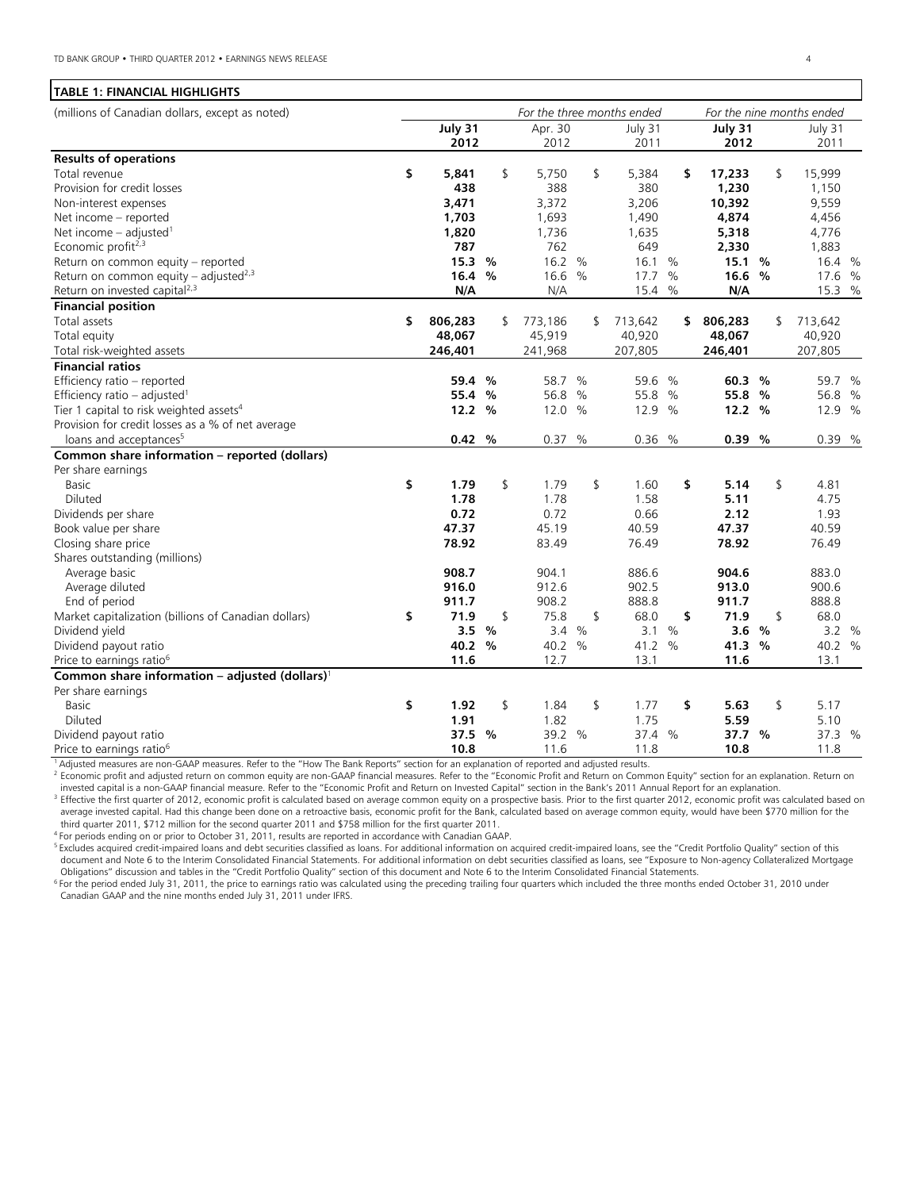## **TABLE 1: FINANCIAL HIGHLIGHTS**

| (millions of Canadian dollars, except as noted)            | For the three months ended |         |               |         |      | For the nine months ended |      |           |               |         |      |
|------------------------------------------------------------|----------------------------|---------|---------------|---------|------|---------------------------|------|-----------|---------------|---------|------|
|                                                            |                            | July 31 |               | Apr. 30 |      | July 31                   |      | July 31   |               | July 31 |      |
|                                                            |                            | 2012    |               | 2012    |      | 2011                      |      | 2012      |               | 2011    |      |
| <b>Results of operations</b>                               |                            |         |               |         |      |                           |      |           |               |         |      |
| Total revenue                                              | \$                         | 5,841   | \$            | 5,750   | \$   | 5,384                     | \$   | 17,233    | \$            | 15,999  |      |
| Provision for credit losses                                |                            | 438     |               | 388     |      | 380                       |      | 1,230     |               | 1,150   |      |
| Non-interest expenses                                      |                            | 3,471   |               | 3,372   |      | 3,206                     |      | 10,392    |               | 9,559   |      |
| Net income - reported                                      |                            | 1,703   |               | 1,693   |      | 1,490                     |      | 4,874     |               | 4,456   |      |
| Net income $-$ adjusted <sup>1</sup>                       |                            | 1,820   |               | 1,736   |      | 1,635                     |      | 5,318     |               | 4,776   |      |
| Economic profit <sup>2,3</sup>                             |                            | 787     |               | 762     |      | 649                       |      | 2,330     |               | 1,883   |      |
| Return on common equity - reported                         |                            | 15.3    | $\%$          | 16.2 %  |      | 16.1                      | %    | 15.1 %    |               | 16.4 %  |      |
| Return on common equity – adjusted <sup>2,3</sup>          |                            | 16.4    | $\%$          | 16.6    | $\%$ | 17.7                      | $\%$ | 16.6      | $\frac{0}{0}$ | 17.6 %  |      |
| Return on invested capital <sup>2,3</sup>                  |                            | N/A     |               | N/A     |      | 15.4                      | %    | N/A       |               | 15.3 %  |      |
| <b>Financial position</b>                                  |                            |         |               |         |      |                           |      |           |               |         |      |
| Total assets                                               | \$                         | 806,283 | \$            | 773,186 | \$   | 713,642                   |      | \$806,283 | \$            | 713,642 |      |
| Total equity                                               |                            | 48,067  |               | 45,919  |      | 40,920                    |      | 48,067    |               | 40,920  |      |
| Total risk-weighted assets                                 |                            | 246,401 |               | 241,968 |      | 207,805                   |      | 246,401   |               | 207,805 |      |
| <b>Financial ratios</b>                                    |                            |         |               |         |      |                           |      |           |               |         |      |
| Efficiency ratio - reported                                |                            | 59.4    | $\%$          | 58.7    | %    | 59.6                      | %    | 60.3      | %             | 59.7 %  |      |
| Efficiency ratio – adjusted <sup>1</sup>                   |                            | 55.4    | $\frac{0}{0}$ | 56.8    | $\%$ | 55.8                      | $\%$ | 55.8      | $\%$          | 56.8 %  |      |
| Tier 1 capital to risk weighted assets <sup>4</sup>        |                            | 12.2 %  |               | 12.0    | $\%$ | 12.9 %                    |      | 12.2 %    |               | 12.9 %  |      |
| Provision for credit losses as a % of net average          |                            |         |               |         |      |                           |      |           |               |         |      |
| loans and acceptances <sup>5</sup>                         |                            | 0.42%   |               | 0.37    | %    | 0.36%                     |      | 0.39 %    |               | 0.39%   |      |
| Common share information - reported (dollars)              |                            |         |               |         |      |                           |      |           |               |         |      |
| Per share earnings                                         |                            |         |               |         |      |                           |      |           |               |         |      |
| Basic                                                      | \$                         | 1.79    | \$            | 1.79    | \$   | 1.60                      | \$   | 5.14      | \$            | 4.81    |      |
| Diluted                                                    |                            | 1.78    |               | 1.78    |      | 1.58                      |      | 5.11      |               | 4.75    |      |
| Dividends per share                                        |                            | 0.72    |               | 0.72    |      | 0.66                      |      | 2.12      |               | 1.93    |      |
| Book value per share                                       |                            | 47.37   |               | 45.19   |      | 40.59                     |      | 47.37     |               | 40.59   |      |
| Closing share price                                        |                            | 78.92   |               | 83.49   |      | 76.49                     |      | 78.92     |               | 76.49   |      |
| Shares outstanding (millions)                              |                            |         |               |         |      |                           |      |           |               |         |      |
| Average basic                                              |                            | 908.7   |               | 904.1   |      | 886.6                     |      | 904.6     |               | 883.0   |      |
| Average diluted                                            |                            | 916.0   |               | 912.6   |      | 902.5                     |      | 913.0     |               | 900.6   |      |
| End of period                                              |                            | 911.7   |               | 908.2   |      | 888.8                     |      | 911.7     |               | 888.8   |      |
| Market capitalization (billions of Canadian dollars)       | \$                         | 71.9    | \$            | 75.8    | \$   | 68.0                      | \$   | 71.9      | \$            | 68.0    |      |
| Dividend yield                                             |                            | 3.5     | $\%$          | 3.4%    |      | 3.1                       | $\%$ | 3.6       | %             |         | 3.2% |
| Dividend payout ratio                                      |                            | 40.2    | $\%$          | 40.2 %  |      | 41.2                      | %    | 41.3      | %             | 40.2 %  |      |
| Price to earnings ratio <sup>6</sup>                       |                            | 11.6    |               | 12.7    |      | 13.1                      |      | 11.6      |               | 13.1    |      |
| Common share information - adjusted (dollars) <sup>1</sup> |                            |         |               |         |      |                           |      |           |               |         |      |
| Per share earnings                                         |                            |         |               |         |      |                           |      |           |               |         |      |
| Basic                                                      | \$                         | 1.92    | \$            | 1.84    | \$   | 1.77                      | \$   | 5.63      | \$            | 5.17    |      |
| Diluted                                                    |                            | 1.91    |               | 1.82    |      | 1.75                      |      | 5.59      |               | 5.10    |      |
| Dividend payout ratio                                      |                            | 37.5 %  |               | 39.2 %  |      | 37.4                      | $\%$ | 37.7      | $\%$          | 37.3 %  |      |
| Price to earnings ratio <sup>6</sup>                       |                            | 10.8    |               | 11.6    |      | 11.8                      |      | 10.8      |               | 11.8    |      |

<sup>1</sup> Adjusted measures are non-GAAP measures. Refer to the "How The Bank Reports" section for an explanation of reported and adjusted results.<br><sup>2</sup> Economic profit and adjusted return on common equity are non-GAAP financial invested capital is a non-GAAP financial measure. Refer to the "Economic Profit and Return on Invested Capital" section in the Bank's 2011 Annual Report for an explanation. 3 <sup>3</sup> Effective the first quarter of 2012, economic profit is calculated based on average common equity on a prospective basis. Prior to the first quarter 2012, economic profit was calculated based on

average invested capital. Had this change been done on a retroactive basis, economic profit for the Bank, calculated based on average common equity, would have been \$770 million for the third quarter 2011, \$712 million for the second quarter 2011 and \$758 million for the first quarter 2011.

4 For periods ending on or prior to October 31, 2011, results are reported in accordance with Canadian GAAP.

<sup>5</sup> Excludes acquired credit-impaired loans and debt securities classified as loans. For additional information on acquired credit-impaired loans, see the "Credit Portfolio Quality" section of this document and Note 6 to the Interim Consolidated Financial Statements. For additional information on debt securities classified as loans, see "Exposure to Non-agency Collateralized Mortgage<br>Obligations" discussion and table

<sup>6</sup> For the period ended July 31, 2011, the price to earnings ratio was calculated using the preceding trailing four quarters which included the three months ended October 31, 2010 under Canadian GAAP and the nine months ended July 31, 2011 under IFRS.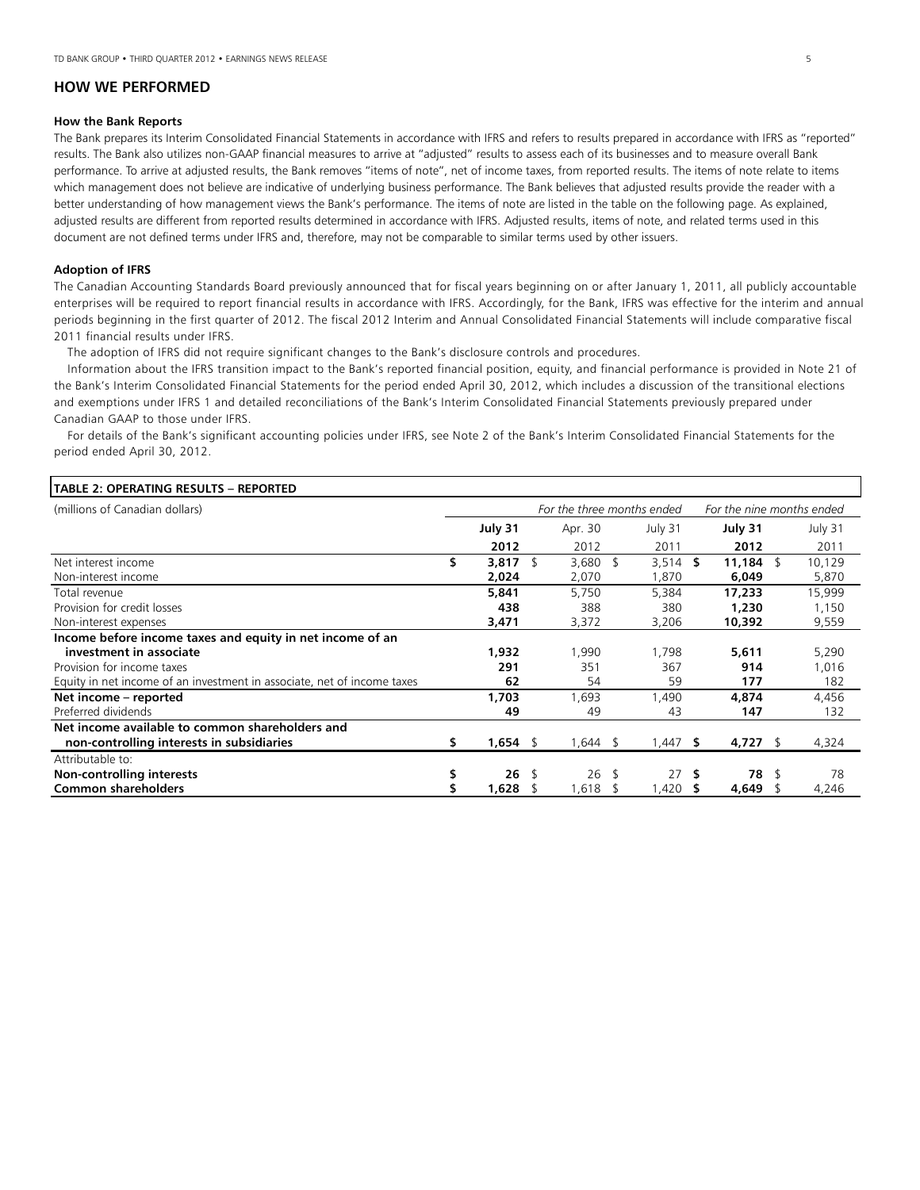# **HOW WE PERFORMED**

## **How the Bank Reports**

The Bank prepares its Interim Consolidated Financial Statements in accordance with IFRS and refers to results prepared in accordance with IFRS as "reported" results. The Bank also utilizes non-GAAP financial measures to arrive at "adjusted" results to assess each of its businesses and to measure overall Bank performance. To arrive at adjusted results, the Bank removes "items of note", net of income taxes, from reported results. The items of note relate to items which management does not believe are indicative of underlying business performance. The Bank believes that adjusted results provide the reader with a better understanding of how management views the Bank's performance. The items of note are listed in the table on the following page. As explained, adjusted results are different from reported results determined in accordance with IFRS. Adjusted results, items of note, and related terms used in this document are not defined terms under IFRS and, therefore, may not be comparable to similar terms used by other issuers.

#### **Adoption of IFRS**

The Canadian Accounting Standards Board previously announced that for fiscal years beginning on or after January 1, 2011, all publicly accountable enterprises will be required to report financial results in accordance with IFRS. Accordingly, for the Bank, IFRS was effective for the interim and annual periods beginning in the first quarter of 2012. The fiscal 2012 Interim and Annual Consolidated Financial Statements will include comparative fiscal 2011 financial results under IFRS.

The adoption of IFRS did not require significant changes to the Bank's disclosure controls and procedures.

 Information about the IFRS transition impact to the Bank's reported financial position, equity, and financial performance is provided in Note 21 of the Bank's Interim Consolidated Financial Statements for the period ended April 30, 2012, which includes a discussion of the transitional elections and exemptions under IFRS 1 and detailed reconciliations of the Bank's Interim Consolidated Financial Statements previously prepared under Canadian GAAP to those under IFRS.

 For details of the Bank's significant accounting policies under IFRS, see Note 2 of the Bank's Interim Consolidated Financial Statements for the period ended April 30, 2012.

# **TABLE 2: OPERATING RESULTS – REPORTED**

| (millions of Canadian dollars)                                          |    |            | For the three months ended |     |            |      | For the nine months ended |               |         |
|-------------------------------------------------------------------------|----|------------|----------------------------|-----|------------|------|---------------------------|---------------|---------|
|                                                                         |    | July 31    | Apr. 30                    |     | July 31    |      | July 31                   |               | July 31 |
|                                                                         |    | 2012       | 2012                       |     | 2011       |      | 2012                      |               | 2011    |
| Net interest income                                                     | \$ | 3,817 \$   | 3,680                      | \$. | $3,514$ \$ |      | 11,184                    | \$            | 10,129  |
| Non-interest income                                                     |    | 2,024      | 2,070                      |     | 1,870      |      | 6,049                     |               | 5,870   |
| Total revenue                                                           |    | 5,841      | 5.750                      |     | 5,384      |      | 17,233                    |               | 15,999  |
| Provision for credit losses                                             |    | 438        | 388                        |     | 380        |      | 1,230                     |               | 1,150   |
| Non-interest expenses                                                   |    | 3,471      | 3,372                      |     | 3,206      |      | 10,392                    |               | 9,559   |
| Income before income taxes and equity in net income of an               |    |            |                            |     |            |      |                           |               |         |
| investment in associate                                                 |    | 1,932      | 1,990                      |     | 1,798      |      | 5,611                     |               | 5,290   |
| Provision for income taxes                                              |    | 291        | 351                        |     | 367        |      | 914                       |               | 1,016   |
| Equity in net income of an investment in associate, net of income taxes |    | 62         | 54                         |     | 59         |      | 177                       |               | 182     |
| Net income – reported                                                   |    | 1,703      | 1,693                      |     | 1,490      |      | 4,874                     |               | 4,456   |
| Preferred dividends                                                     |    | 49         | 49                         |     | 43         |      | 147                       |               | 132     |
| Net income available to common shareholders and                         |    |            |                            |     |            |      |                           |               |         |
| non-controlling interests in subsidiaries                               | S  | $1,654$ \$ | $1,644$ \$                 |     | $1,447$ \$ |      | 4,727 \$                  |               | 4,324   |
| Attributable to:                                                        |    |            |                            |     |            |      |                           |               |         |
| Non-controlling interests                                               |    | 26         | 26                         |     | 27         | - 56 | 78                        | $\mathcal{L}$ | 78      |
| <b>Common shareholders</b>                                              |    | 1,628      | 1,618                      |     | 1,420      |      | 4.649                     |               | 4,246   |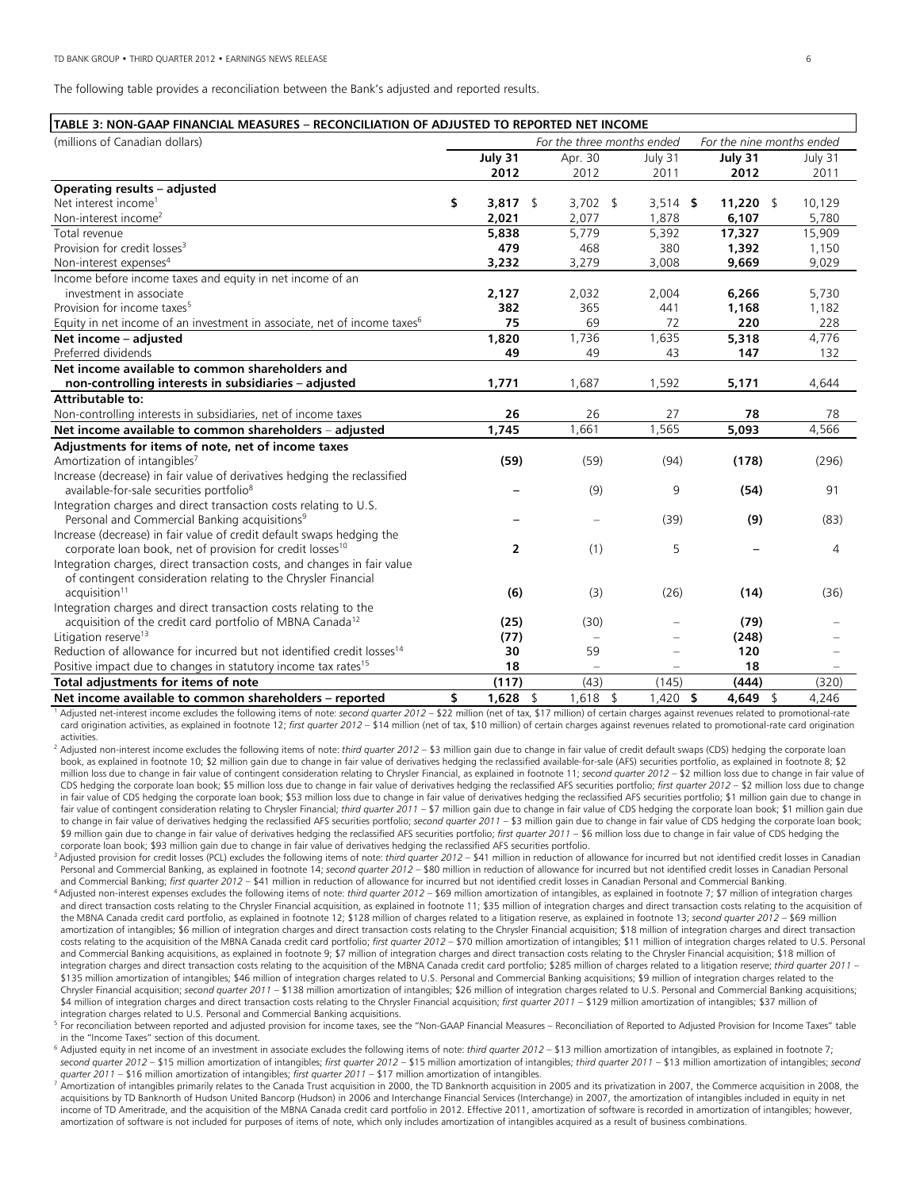The following table provides a reconciliation between the Bank's adjusted and reported results.

# **TABLE 3: NON-GAAP FINANCIAL MEASURES – RECONCILIATION OF ADJUSTED TO REPORTED NET INCOME**

| (millions of Canadian dollars)                                                                                                                                                                     |                  |                          | For the three months ended |           | For the nine months ended |
|----------------------------------------------------------------------------------------------------------------------------------------------------------------------------------------------------|------------------|--------------------------|----------------------------|-----------|---------------------------|
|                                                                                                                                                                                                    | July 31          | Apr. 30                  | July 31                    | July 31   | July 31                   |
|                                                                                                                                                                                                    | 2012             | 2012                     | 2011                       | 2012      | 2011                      |
| Operating results - adjusted                                                                                                                                                                       |                  |                          |                            |           |                           |
| Net interest income <sup>1</sup>                                                                                                                                                                   | \$<br>3,817 \$   | $3,702$ \$               | $3,514$ \$                 | 11,220 \$ | 10,129                    |
| Non-interest income <sup>2</sup>                                                                                                                                                                   | 2,021            | 2,077                    | 1,878                      | 6,107     | 5,780                     |
| Total revenue                                                                                                                                                                                      | 5,838            | 5,779                    | 5,392                      | 17,327    | 15,909                    |
| Provision for credit losses <sup>3</sup>                                                                                                                                                           | 479              | 468                      | 380                        | 1,392     | 1,150                     |
| Non-interest expenses <sup>4</sup>                                                                                                                                                                 | 3,232            | 3,279                    | 3,008                      | 9,669     | 9,029                     |
| Income before income taxes and equity in net income of an                                                                                                                                          |                  |                          |                            |           |                           |
| investment in associate                                                                                                                                                                            | 2,127            | 2,032                    | 2,004                      | 6,266     | 5,730                     |
| Provision for income taxes <sup>5</sup>                                                                                                                                                            | 382              | 365                      | 441                        | 1,168     | 1,182                     |
| Equity in net income of an investment in associate, net of income taxes <sup>6</sup>                                                                                                               | 75               | 69                       | 72                         | 220       | 228                       |
| Net income - adjusted                                                                                                                                                                              | 1,820            | 1,736                    | 1,635                      | 5,318     | 4,776                     |
| Preferred dividends                                                                                                                                                                                | 49               | 49                       | 43                         | 147       | 132                       |
| Net income available to common shareholders and                                                                                                                                                    |                  |                          |                            |           |                           |
| non-controlling interests in subsidiaries - adjusted                                                                                                                                               | 1,771            | 1,687                    | 1,592                      | 5,171     | 4,644                     |
| Attributable to:                                                                                                                                                                                   |                  |                          |                            |           |                           |
| Non-controlling interests in subsidiaries, net of income taxes                                                                                                                                     | 26               | 26                       | 27                         | 78        | 78                        |
| Net income available to common shareholders - adjusted                                                                                                                                             | 1,745            | 1,661                    | 1,565                      | 5,093     | 4,566                     |
| Adjustments for items of note, net of income taxes                                                                                                                                                 |                  |                          |                            |           |                           |
| Amortization of intangibles <sup>7</sup>                                                                                                                                                           | (59)             | (59)                     | (94)                       | (178)     | (296)                     |
| Increase (decrease) in fair value of derivatives hedging the reclassified                                                                                                                          |                  |                          |                            |           |                           |
| available-for-sale securities portfolio <sup>8</sup>                                                                                                                                               |                  | (9)                      | 9                          | (54)      | 91                        |
| Integration charges and direct transaction costs relating to U.S.                                                                                                                                  |                  |                          |                            |           |                           |
| Personal and Commercial Banking acquisitions <sup>9</sup>                                                                                                                                          |                  |                          | (39)                       | (9)       | (83)                      |
| Increase (decrease) in fair value of credit default swaps hedging the                                                                                                                              |                  |                          |                            |           |                           |
| corporate loan book, net of provision for credit losses <sup>10</sup>                                                                                                                              | 2                | (1)                      | 5                          |           | 4                         |
| Integration charges, direct transaction costs, and changes in fair value                                                                                                                           |                  |                          |                            |           |                           |
| of contingent consideration relating to the Chrysler Financial                                                                                                                                     |                  |                          |                            |           |                           |
| acquisition <sup>11</sup>                                                                                                                                                                          | (6)              | (3)                      | (26)                       | (14)      | (36)                      |
| Integration charges and direct transaction costs relating to the                                                                                                                                   |                  |                          |                            |           |                           |
| acquisition of the credit card portfolio of MBNA Canada <sup>12</sup>                                                                                                                              | (25)             | (30)                     |                            | (79)      |                           |
| Litigation reserve <sup>13</sup>                                                                                                                                                                   | (77)             | $\equiv$                 |                            | (248)     |                           |
| Reduction of allowance for incurred but not identified credit losses <sup>14</sup>                                                                                                                 | 30               | 59                       |                            | 120       |                           |
| Positive impact due to changes in statutory income tax rates <sup>15</sup>                                                                                                                         | 18               | $\overline{\phantom{m}}$ |                            | 18        |                           |
| Total adjustments for items of note                                                                                                                                                                | (117)            | (43)                     | (145)                      | (444)     | (320)                     |
| Net income available to common shareholders - reported                                                                                                                                             | \$<br>$1,628$ \$ | 1,618                    | $1,420$ \$<br>\$           | 4,649     | \$<br>4,246               |
| 1 Adjusted net-interest income excludes the following items of note: second quarter 2012 - \$22 million (net of tax, \$17 million) of certain charges against revenues related to promotional-rate |                  |                          |                            |           |                           |

card origination activities, as explained in footnote 12; *first quarter 2012* – \$14 million (net of tax, \$10 million) of certain charges against revenues related to promotional-rate card origination activities.

<sup>2</sup> Adjusted non-interest income excludes the following items of note: third quarter 2012 – \$3 million gain due to change in fair value of credit default swaps (CDS) hedging the corporate loan book, as explained in footnote 10; \$2 million gain due to change in fair value of derivatives hedging the reclassified available-for-sale (AFS) securities portfolio, as explained in footnote 8; \$2 million loss due to change in fair value of contingent consideration relating to Chrysler Financial, as explained in footnote 11; *second quarter 2012* – \$2 million loss due to change in fair value of CDS hedging the corporate loan book; \$5 million loss due to change in fair value of derivatives hedging the reclassified AFS securities portfolio; *first quarter 2012 –* \$2 million loss due to change in fair value of CDS hedging the corporate loan book; \$53 million loss due to change in fair value of derivatives hedging the reclassified AFS securities portfolio; \$1 million gain due to change in fair value of contingent consideration relating to Chrysler Financial; *third quarter 2011* – \$7 million gain due to change in fair value of CDS hedging the corporate loan book; \$1 million gain due to change in fair value of derivatives hedging the reclassified AFS securities portfolio; *second quarter 2011* – \$3 million gain due to change in fair value of CDS hedging the corporate loan book; \$9 million gain due to change in fair value of derivatives hedging the reclassified AFS securities portfolio; *first quarter 2011* – \$6 million loss due to change in fair value of CDS hedging the corporate loan book; \$93 m

<sup>3</sup> Adjusted provision for credit losses (PCL) excludes the following items of note: third quarter 2012 - \$41 million in reduction of allowance for incurred but not identified credit losses in Canadian Personal and Commercial Banking, as explained in footnote 14; *second quarter 2012* – \$80 million in reduction of allowance for incurred but not identified credit losses in Canadian Personal<br>and Commercial Banking; *first* 

4 Adjusted non-interest expenses excludes the following items of note: third quarter 2012 - \$69 million amortization of intangibles, as explained in footnote 7; \$7 million of integration charges and direct transaction costs relating to the Chrysler Financial acquisition, as explained in footnote 11; \$35 million of integration charges and direct transaction costs relating to the acquisition of the MBNA Canada credit card portfolio, as explained in footnote 12; \$128 million of charges related to a litigation reserve, as explained in footnote 13; *second quarter 2012* – \$69 million amortization of intangibles; \$6 million of integration charges and direct transaction costs relating to the Chrysler Financial acquisition; \$18 million of integration charges and direct transaction costs relating to the acquisition of the MBNA Canada credit card portfolio; *first quarter 2012* – \$70 million amortization of intangibles; \$11 million of integration charges related to U.S. Personal and Commercial Banking acquisitions, as explained in footnote 9; \$7 million of integration charges and direct transaction costs relating to the Chrysler Financial acquisition; \$18 million of integration charges and direct transaction costs relating to the acquisition of the MBNA Canada credit card portfolio; \$285 million of charges related to a litigation reserve; *third quarter 2011* – \$135 million amortization of intangibles; \$46 million of integration charges related to U.S. Personal and Commercial Banking acquisitions; \$9 million of integration charges related to the Chrysler Financial acquisition; *second quarter 2011* – \$138 million amortization of intangibles; \$26 million of integration charges related to U.S. Personal and Commercial Banking acquisitions; \$4 million of integration charges and direct transaction costs relating to the Chrysler Financial acquisition; *first quarter 2011* – \$129 million amortization of intangibles; \$37 million of integration charges related to U.S. Personal and Commercial Banking acquisitions.

<sup>5</sup> For reconciliation between reported and adjusted provision for income taxes, see the "Non-GAAP Financial Measures - Reconciliation of Reported to Adjusted Provision for Income Taxes" table in the "Income Taxes" section of this document.

<sup>6</sup> Adjusted equity in net income of an investment in associate excludes the following items of note: *third quarter 2012 –* \$13 million amortization of intangibles, as explained in footnote 7; *second quarter 2012 –* \$15 million amortization of intangibles; *first quarter 2012* – \$15 million amortization of intangibles; *third quarter 2011* – \$13 million amortization of intangibles; *second* 

Amortization of intangibles primarily relates to the Canada Trust acquisition in 2000, the TD Banknorth acquisition in 2005 and its privatization in 2007, the Commerce acquisition in 2008, the acquisitions by TD Banknorth of Hudson United Bancorp (Hudson) in 2006 and Interchange Financial Services (Interchange) in 2007, the amortization of intangibles included in equity in net income of TD Ameritrade, and the acquisition of the MBNA Canada credit card portfolio in 2012. Effective 2011, amortization of software is recorded in amortization of intangibles; however, amortization of software is not included for purposes of items of note, which only includes amortization of intangibles acquired as a result of business combinations.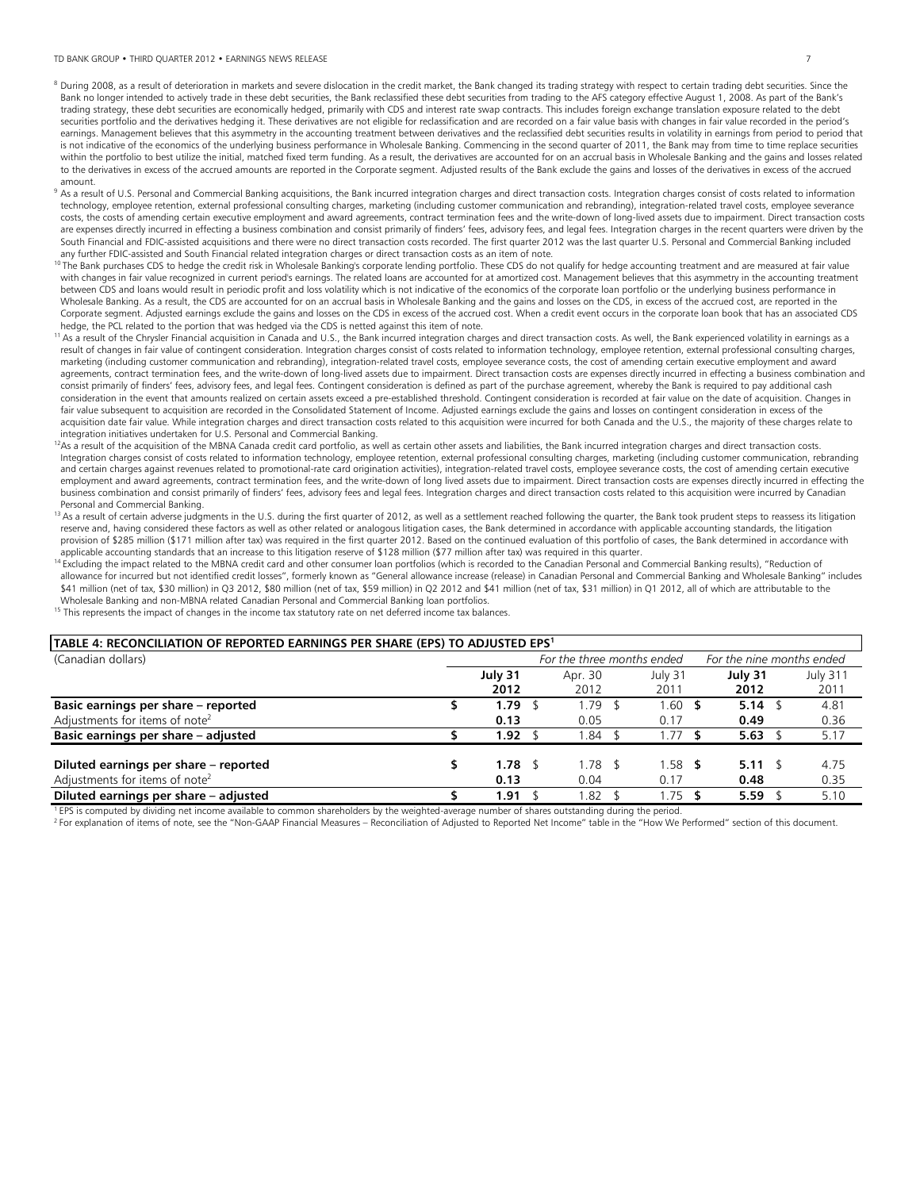#### TD BANK GROUP • THIRD QUARTER 2012 • EARNINGS NEWS RELEASE 7

- <sup>8</sup> During 2008, as a result of deterioration in markets and severe dislocation in the credit market, the Bank changed its trading strategy with respect to certain trading debt securities. Since the Bank no longer intended to actively trade in these debt securities, the Bank reclassified these debt securities from trading to the AFS category effective August 1, 2008. As part of the Bank's trading strategy, these debt securities are economically hedged, primarily with CDS and interest rate swap contracts. This includes foreign exchange translation exposure related to the debt securities portfolio and the derivatives hedging it. These derivatives are not eligible for reclassification and are recorded on a fair value basis with changes in fair value recorded in the period's earnings. Management believes that this asymmetry in the accounting treatment between derivatives and the reclassified debt securities results in volatility in earnings from period to period that is not indicative of the economics of the underlying business performance in Wholesale Banking. Commencing in the second quarter of 2011, the Bank may from time to time replace securities within the portfolio to best utilize the initial, matched fixed term funding. As a result, the derivatives are accounted for on an accrual basis in Wholesale Banking and the gains and losses related to the derivatives in excess of the accrued amounts are reported in the Corporate segment. Adjusted results of the Bank exclude the gains and losses of the derivatives in excess of the accrued amount.
- <sup>9</sup> As a result of U.S. Personal and Commercial Banking acquisitions, the Bank incurred integration charges and direct transaction costs. Integration charges consist of costs related to information technology, employee retention, external professional consulting charges, marketing (including customer communication and rebranding), integration-related travel costs, employee severance costs, the costs of amending certain executive employment and award agreements, contract termination fees and the write-down of long-lived assets due to impairment. Direct transaction costs are expenses directly incurred in effecting a business combination and consist primarily of finders' fees, advisory fees, and legal fees. Integration charges in the recent quarters were driven by the South Financial and FDIC-assisted acquisitions and there were no direct transaction costs recorded. The first quarter 2012 was the last quarter U.S. Personal and Commercial Banking included any further FDIC-assisted and South Financial related integration charges or direct transaction costs as an item of note.
- <sup>10</sup> The Bank purchases CDS to hedge the credit risk in Wholesale Banking's corporate lending portfolio. These CDS do not qualify for hedge accounting treatment and are measured at fair value with changes in fair value recognized in current period's earnings. The related loans are accounted for at amortized cost. Management believes that this asymmetry in the accounting treatment between CDS and loans would result in periodic profit and loss volatility which is not indicative of the economics of the corporate loan portfolio or the underlying business performance in Wholesale Banking. As a result, the CDS are accounted for on an accrual basis in Wholesale Banking and the gains and losses on the CDS, in excess of the accrued cost, are reported in the Corporate segment. Adjusted earnings exclude the gains and losses on the CDS in excess of the accrued cost. When a credit event occurs in the corporate loan book that has an associated CDS hedge, the PCL related to the portion that was hedged via the CDS is netted against this item of note.
- <sup>11</sup> As a result of the Chrysler Financial acquisition in Canada and U.S., the Bank incurred integration charges and direct transaction costs. As well, the Bank experienced volatility in earnings as a result of changes in fair value of contingent consideration. Integration charges consist of costs related to information technology, employee retention, external professional consulting charges, marketing (including customer communication and rebranding), integration-related travel costs, employee severance costs, the cost of amending certain executive employment and award agreements, contract termination fees, and the write-down of long-lived assets due to impairment. Direct transaction costs are expenses directly incurred in effecting a business combination and consist primarily of finders' fees, advisory fees, and legal fees. Contingent consideration is defined as part of the purchase agreement, whereby the Bank is required to pay additional cash consideration in the event that amounts realized on certain assets exceed a pre-established threshold. Contingent consideration is recorded at fair value on the date of acquisition. Changes in fair value subsequent to acquisition are recorded in the Consolidated Statement of Income. Adjusted earnings exclude the gains and losses on contingent consideration in excess of the acquisition date fair value. While integration charges and direct transaction costs related to this acquisition were incurred for both Canada and the U.S., the majority of these charges relate to integration initiatives undertaken for U.S. Personal and Commercial Banking.
- <sup>12</sup>As a result of the acquisition of the MBNA Canada credit card portfolio, as well as certain other assets and liabilities, the Bank incurred integration charges and direct transaction costs. Integration charges consist of costs related to information technology, employee retention, external professional consulting charges, marketing (including customer communication, rebranding and certain charges against revenues related to promotional-rate card origination activities), integration-related travel costs, employee severance costs, the cost of amending certain executive employment and award agreements, contract termination fees, and the write-down of long lived assets due to impairment. Direct transaction costs are expenses directly incurred in effecting the business combination and consist primarily of finders' fees, advisory fees and legal fees. Integration charges and direct transaction costs related to this acquisition were incurred by Canadian Personal and Commercial Banking.
- <sup>13</sup> As a result of certain adverse judgments in the U.S. during the first quarter of 2012, as well as a settlement reached following the quarter, the Bank took prudent steps to reassess its litigation reserve and, having considered these factors as well as other related or analogous litigation cases, the Bank determined in accordance with applicable accounting standards, the litigation provision of \$285 million (\$171 million after tax) was required in the first quarter 2012. Based on the continued evaluation of this portfolio of cases, the Bank determined in accordance with<br>applicable accounting standard
- <sup>14</sup> Excluding the impact related to the MBNA credit card and other consumer loan portfolios (which is recorded to the Canadian Personal and Commercial Banking results), "Reduction of allowance for incurred but not identified credit losses", formerly known as "General allowance increase (release) in Canadian Personal and Commercial Banking and Wholesale Banking" includes \$41 million (net of tax, \$30 million) in Q3 2012, \$80 million (net of tax, \$59 million) in Q2 2012 and \$41 million (net of tax, \$31 million) in Q1 2012, all of which are attributable to the Wholesale Banking and non-MBNA related Canadian Personal and Commercial Banking loan portfolios.<br><sup>15</sup> This represents the impact of changes in the income tax statutory rate on net deferred income tax balances.
- 

| TABLE 4: RECONCILIATION OF REPORTED EARNINGS PER SHARE (EPS) TO ADJUSTED EPS <sup>1</sup> |  |                    |  |         |  |           |  |                 |                           |                 |  |  |  |  |  |
|-------------------------------------------------------------------------------------------|--|--------------------|--|---------|--|-----------|--|-----------------|---------------------------|-----------------|--|--|--|--|--|
| (Canadian dollars)<br>For the three months ended                                          |  |                    |  |         |  |           |  |                 | For the nine months ended |                 |  |  |  |  |  |
|                                                                                           |  | July 31            |  | Apr. 30 |  | July 31   |  | July 31         |                           | <b>July 311</b> |  |  |  |  |  |
|                                                                                           |  | 2012               |  | 2012    |  | 2011      |  | 2012            |                           | 2011            |  |  |  |  |  |
| Basic earnings per share - reported                                                       |  | 1.79               |  | .79     |  | .60       |  | 5.14            |                           | 4.81            |  |  |  |  |  |
| Adjustments for items of note <sup>2</sup>                                                |  | 0.13               |  | 0.05    |  | 0.17      |  | 0.49            |                           | 0.36            |  |  |  |  |  |
| Basic earnings per share - adjusted                                                       |  | 1.92               |  | .84     |  | .77       |  | 5.63            |                           | 5.17            |  |  |  |  |  |
|                                                                                           |  |                    |  |         |  |           |  |                 |                           |                 |  |  |  |  |  |
| Diluted earnings per share – reported                                                     |  | 1.78 $\frac{1}{2}$ |  | 1.78    |  | $1.58$ \$ |  | $5.11 \text{ }$ |                           | 4.75            |  |  |  |  |  |
| Adjustments for items of note <sup>2</sup>                                                |  | 0.13               |  | 0.04    |  | 0.17      |  | 0.48            |                           | 0.35            |  |  |  |  |  |
| Diluted earnings per share - adjusted                                                     |  | 1.91               |  | .82     |  | .75       |  | 5.59            |                           | 5.10            |  |  |  |  |  |

<sup>1</sup> EPS is computed by dividing net income available to common shareholders by the weighted-average number of shares outstanding during the period.<br><sup>2</sup> For explanation of items of note, see the "Non-GAAP Financial Measures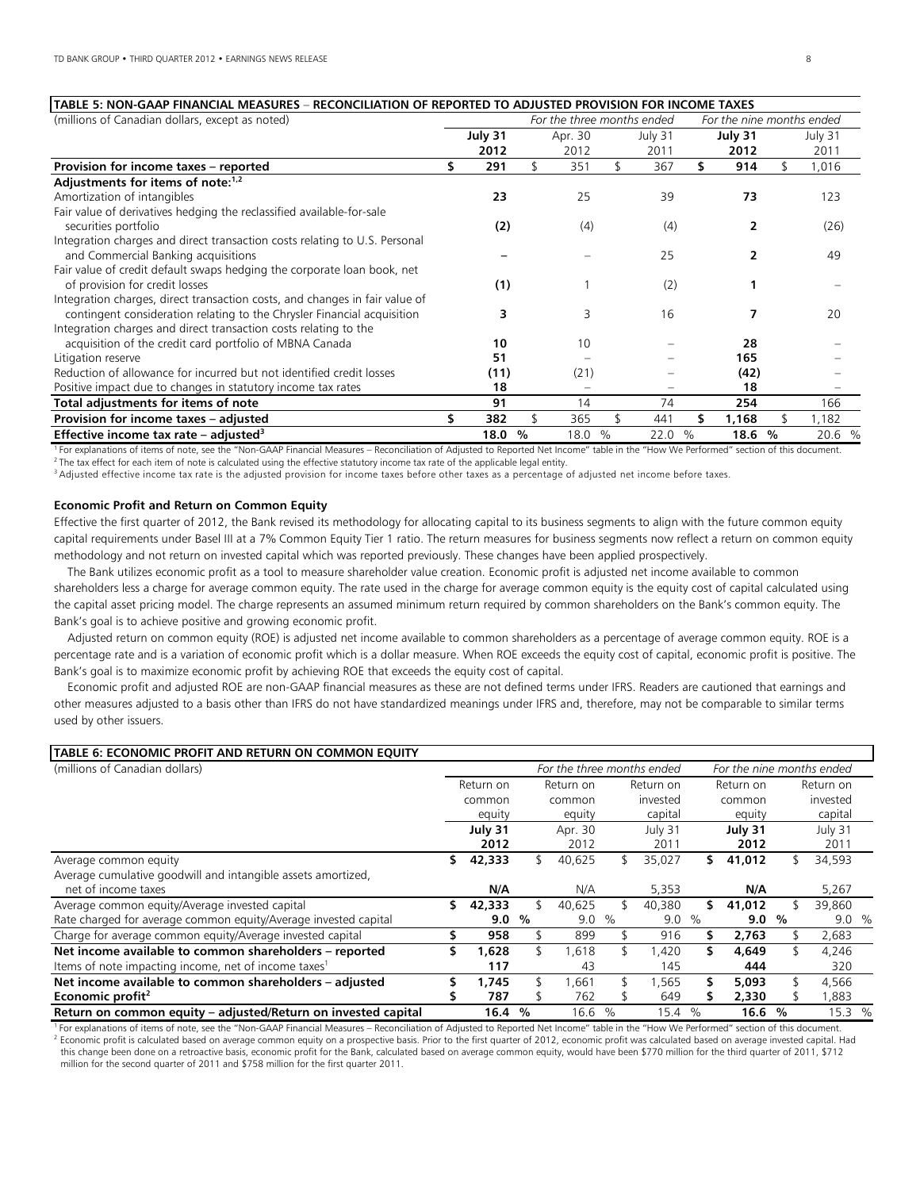# **TABLE 5: NON-GAAP FINANCIAL MEASURES** – **RECONCILIATION OF REPORTED TO ADJUSTED PROVISION FOR INCOME TAXES**

| (millions of Canadian dollars, except as noted)                             |    |         |   | For the three months ended |           |      | For the nine months ended |   |         |  |
|-----------------------------------------------------------------------------|----|---------|---|----------------------------|-----------|------|---------------------------|---|---------|--|
|                                                                             |    | July 31 |   | Apr. 30                    | July 31   |      | July 31                   |   | July 31 |  |
|                                                                             |    | 2012    |   | 2012                       | 2011      |      | 2012                      |   | 2011    |  |
| Provision for income taxes - reported                                       | S. | 291     |   | 351                        | 367       |      | 914                       |   | 1,016   |  |
| Adjustments for items of note: <sup>1,2</sup>                               |    |         |   |                            |           |      |                           |   |         |  |
| Amortization of intangibles                                                 |    | 23      |   | 25                         | 39        |      | 73                        |   | 123     |  |
| Fair value of derivatives hedging the reclassified available-for-sale       |    |         |   |                            |           |      |                           |   |         |  |
| securities portfolio                                                        |    | (2)     |   | (4)                        | (4)       |      | 2                         |   | (26)    |  |
| Integration charges and direct transaction costs relating to U.S. Personal  |    |         |   |                            |           |      |                           |   |         |  |
| and Commercial Banking acquisitions                                         |    |         |   |                            | 25        |      | 2                         |   | 49      |  |
| Fair value of credit default swaps hedging the corporate loan book, net     |    |         |   |                            |           |      |                           |   |         |  |
| of provision for credit losses                                              |    | (1)     |   |                            | (2)       |      |                           |   |         |  |
| Integration charges, direct transaction costs, and changes in fair value of |    |         |   |                            |           |      |                           |   |         |  |
| contingent consideration relating to the Chrysler Financial acquisition     |    |         |   | 3                          | 16        |      |                           |   | 20      |  |
| Integration charges and direct transaction costs relating to the            |    |         |   |                            |           |      |                           |   |         |  |
| acquisition of the credit card portfolio of MBNA Canada                     |    | 10      |   | 10                         |           |      | 28                        |   |         |  |
| Litigation reserve                                                          |    | 51      |   |                            |           |      | 165                       |   |         |  |
| Reduction of allowance for incurred but not identified credit losses        |    | (11)    |   | (21)                       |           |      | (42)                      |   |         |  |
| Positive impact due to changes in statutory income tax rates                |    | 18      |   |                            |           |      | 18                        |   |         |  |
| Total adjustments for items of note                                         |    | 91      |   | 14                         | 74        |      | 254                       |   | 166     |  |
| Provision for income taxes - adjusted                                       |    | 382     |   | 365                        | \$<br>441 |      | 1,168                     |   | 1,182   |  |
| Effective income tax rate – adjusted <sup>3</sup>                           |    | 18.0    | % | 18.0<br>%                  | 22.0      | $\%$ | 18.6                      | % | 20.6 %  |  |
| $\mathbf{u}$ $\mathbf{u}$                                                   |    |         |   |                            |           |      |                           |   |         |  |

<sup>1</sup> For explanations of items of note, see the "Non-GAAP Financial Measures – Reconciliation of Adjusted to Reported Net Income" table in the "How We Performed" section of this document.<br><sup>2</sup> The tax effect for each item of

#### **Economic Profit and Return on Common Equity**

Effective the first quarter of 2012, the Bank revised its methodology for allocating capital to its business segments to align with the future common equity capital requirements under Basel III at a 7% Common Equity Tier 1 ratio. The return measures for business segments now reflect a return on common equity methodology and not return on invested capital which was reported previously. These changes have been applied prospectively.

 The Bank utilizes economic profit as a tool to measure shareholder value creation. Economic profit is adjusted net income available to common shareholders less a charge for average common equity. The rate used in the charge for average common equity is the equity cost of capital calculated using the capital asset pricing model. The charge represents an assumed minimum return required by common shareholders on the Bank's common equity. The Bank's goal is to achieve positive and growing economic profit.

 Adjusted return on common equity (ROE) is adjusted net income available to common shareholders as a percentage of average common equity. ROE is a percentage rate and is a variation of economic profit which is a dollar measure. When ROE exceeds the equity cost of capital, economic profit is positive. The Bank's goal is to maximize economic profit by achieving ROE that exceeds the equity cost of capital.

 Economic profit and adjusted ROE are non-GAAP financial measures as these are not defined terms under IFRS. Readers are cautioned that earnings and other measures adjusted to a basis other than IFRS do not have standardized meanings under IFRS and, therefore, may not be comparable to similar terms used by other issuers.

# **TABLE 6: ECONOMIC PROFIT AND RETURN ON COMMON EQUITY**

| (millions of Canadian dollars)                                   |    |           |      | For the three months ended |      |           |    | For the nine months ended |      |           |  |
|------------------------------------------------------------------|----|-----------|------|----------------------------|------|-----------|----|---------------------------|------|-----------|--|
|                                                                  |    | Return on |      | Return on                  |      | Return on |    | Return on                 |      | Return on |  |
|                                                                  |    | common    |      | common                     |      | invested  |    | common                    |      | invested  |  |
|                                                                  |    | equity    |      | equity                     |      | capital   |    | equity                    |      | capital   |  |
|                                                                  |    | July 31   |      | Apr. 30                    |      | July 31   |    | July 31                   |      | July 31   |  |
|                                                                  |    | 2012      |      | 2012                       |      | 2011      |    | 2012                      |      | 2011      |  |
| Average common equity                                            | S  | 42,333    |      | 40,625                     |      | 35,027    | S. | 41,012                    |      | 34,593    |  |
| Average cumulative goodwill and intangible assets amortized,     |    |           |      |                            |      |           |    |                           |      |           |  |
| net of income taxes                                              |    | N/A       |      | N/A                        |      | 5,353     |    | N/A                       |      | 5,267     |  |
| Average common equity/Average invested capital                   | S  | 42,333    |      | 40.625                     |      | 40,380    | ٢. | 41,012                    |      | 39,860    |  |
| Rate charged for average common equity/Average invested capital  |    | 9.0       | %    | 9.0                        | %    | 9.0       | %  | 9.0                       | $\%$ | 9.0%      |  |
| Charge for average common equity/Average invested capital        |    | 958       |      | 899                        |      | 916       |    | 2,763                     |      | 2,683     |  |
| Net income available to common shareholders - reported           | \$ | 1,628     |      | ,618                       |      | 1,420     |    | 4,649                     |      | 4,246     |  |
| Items of note impacting income, net of income taxes <sup>1</sup> |    | 117       |      | 43                         |      | 145       |    | 444                       |      | 320       |  |
| Net income available to common shareholders - adjusted           |    | 1.745     |      | .661                       |      | 1.565     |    | 5.093                     |      | 4,566     |  |
| Economic profit <sup>2</sup>                                     |    | 787       |      | 762                        |      | 649       |    | 2.330                     |      | ,883      |  |
| Return on common equity - adjusted/Return on invested capital    |    | 16.4      | $\%$ | 16.6                       | $\%$ | 15.4      | %  | 16.6                      | %    | 15.3 %    |  |

<sup>1</sup> For explanations of items of note, see the "Non-GAAP Financial Measures – Reconciliation of Adjusted to Reported Net Income" table in the "How We Performed" section of this document.<br><sup>2</sup> Economic profit is calculated b this change been done on a retroactive basis, economic profit for the Bank, calculated based on average common equity, would have been \$770 million for the third quarter of 2011, \$712 million for the second quarter of 2011 and \$758 million for the first quarter 2011.

 $\overline{\phantom{0}}$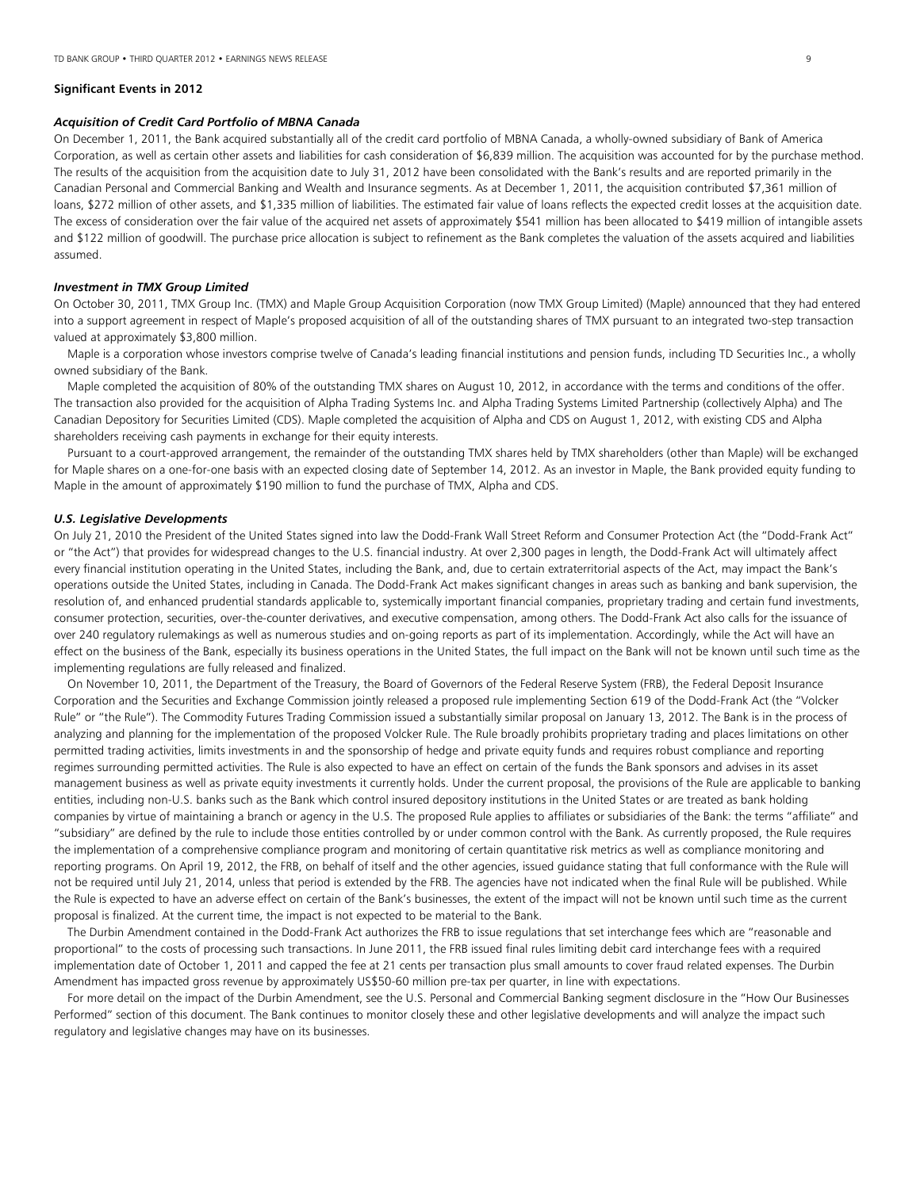#### **Significant Events in 2012**

#### *Acquisition of Credit Card Portfolio of MBNA Canada*

On December 1, 2011, the Bank acquired substantially all of the credit card portfolio of MBNA Canada, a wholly-owned subsidiary of Bank of America Corporation, as well as certain other assets and liabilities for cash consideration of \$6,839 million. The acquisition was accounted for by the purchase method. The results of the acquisition from the acquisition date to July 31, 2012 have been consolidated with the Bank's results and are reported primarily in the Canadian Personal and Commercial Banking and Wealth and Insurance segments. As at December 1, 2011, the acquisition contributed \$7,361 million of loans, \$272 million of other assets, and \$1,335 million of liabilities. The estimated fair value of loans reflects the expected credit losses at the acquisition date. The excess of consideration over the fair value of the acquired net assets of approximately \$541 million has been allocated to \$419 million of intangible assets and \$122 million of goodwill. The purchase price allocation is subject to refinement as the Bank completes the valuation of the assets acquired and liabilities assumed.

#### *Investment in TMX Group Limited*

On October 30, 2011, TMX Group Inc. (TMX) and Maple Group Acquisition Corporation (now TMX Group Limited) (Maple) announced that they had entered into a support agreement in respect of Maple's proposed acquisition of all of the outstanding shares of TMX pursuant to an integrated two-step transaction valued at approximately \$3,800 million.

 Maple is a corporation whose investors comprise twelve of Canada's leading financial institutions and pension funds, including TD Securities Inc., a wholly owned subsidiary of the Bank.

 Maple completed the acquisition of 80% of the outstanding TMX shares on August 10, 2012, in accordance with the terms and conditions of the offer. The transaction also provided for the acquisition of Alpha Trading Systems Inc. and Alpha Trading Systems Limited Partnership (collectively Alpha) and The Canadian Depository for Securities Limited (CDS). Maple completed the acquisition of Alpha and CDS on August 1, 2012, with existing CDS and Alpha shareholders receiving cash payments in exchange for their equity interests.

 Pursuant to a court-approved arrangement, the remainder of the outstanding TMX shares held by TMX shareholders (other than Maple) will be exchanged for Maple shares on a one-for-one basis with an expected closing date of September 14, 2012. As an investor in Maple, the Bank provided equity funding to Maple in the amount of approximately \$190 million to fund the purchase of TMX, Alpha and CDS.

#### *U.S. Legislative Developments*

On July 21, 2010 the President of the United States signed into law the Dodd-Frank Wall Street Reform and Consumer Protection Act (the "Dodd-Frank Act" or "the Act") that provides for widespread changes to the U.S. financial industry. At over 2,300 pages in length, the Dodd-Frank Act will ultimately affect every financial institution operating in the United States, including the Bank, and, due to certain extraterritorial aspects of the Act, may impact the Bank's operations outside the United States, including in Canada. The Dodd-Frank Act makes significant changes in areas such as banking and bank supervision, the resolution of, and enhanced prudential standards applicable to, systemically important financial companies, proprietary trading and certain fund investments, consumer protection, securities, over-the-counter derivatives, and executive compensation, among others. The Dodd-Frank Act also calls for the issuance of over 240 regulatory rulemakings as well as numerous studies and on-going reports as part of its implementation. Accordingly, while the Act will have an effect on the business of the Bank, especially its business operations in the United States, the full impact on the Bank will not be known until such time as the implementing regulations are fully released and finalized.

On November 10, 2011, the Department of the Treasury, the Board of Governors of the Federal Reserve System (FRB), the Federal Deposit Insurance Corporation and the Securities and Exchange Commission jointly released a proposed rule implementing Section 619 of the Dodd-Frank Act (the "Volcker Rule" or "the Rule"). The Commodity Futures Trading Commission issued a substantially similar proposal on January 13, 2012. The Bank is in the process of analyzing and planning for the implementation of the proposed Volcker Rule. The Rule broadly prohibits proprietary trading and places limitations on other permitted trading activities, limits investments in and the sponsorship of hedge and private equity funds and requires robust compliance and reporting regimes surrounding permitted activities. The Rule is also expected to have an effect on certain of the funds the Bank sponsors and advises in its asset management business as well as private equity investments it currently holds. Under the current proposal, the provisions of the Rule are applicable to banking entities, including non-U.S. banks such as the Bank which control insured depository institutions in the United States or are treated as bank holding companies by virtue of maintaining a branch or agency in the U.S. The proposed Rule applies to affiliates or subsidiaries of the Bank: the terms "affiliate" and "subsidiary" are defined by the rule to include those entities controlled by or under common control with the Bank. As currently proposed, the Rule requires the implementation of a comprehensive compliance program and monitoring of certain quantitative risk metrics as well as compliance monitoring and reporting programs. On April 19, 2012, the FRB, on behalf of itself and the other agencies, issued guidance stating that full conformance with the Rule will not be required until July 21, 2014, unless that period is extended by the FRB. The agencies have not indicated when the final Rule will be published. While the Rule is expected to have an adverse effect on certain of the Bank's businesses, the extent of the impact will not be known until such time as the current proposal is finalized. At the current time, the impact is not expected to be material to the Bank.

The Durbin Amendment contained in the Dodd-Frank Act authorizes the FRB to issue regulations that set interchange fees which are "reasonable and proportional" to the costs of processing such transactions. In June 2011, the FRB issued final rules limiting debit card interchange fees with a required implementation date of October 1, 2011 and capped the fee at 21 cents per transaction plus small amounts to cover fraud related expenses. The Durbin Amendment has impacted gross revenue by approximately US\$50-60 million pre-tax per quarter, in line with expectations.

For more detail on the impact of the Durbin Amendment, see the U.S. Personal and Commercial Banking segment disclosure in the "How Our Businesses Performed" section of this document. The Bank continues to monitor closely these and other legislative developments and will analyze the impact such regulatory and legislative changes may have on its businesses.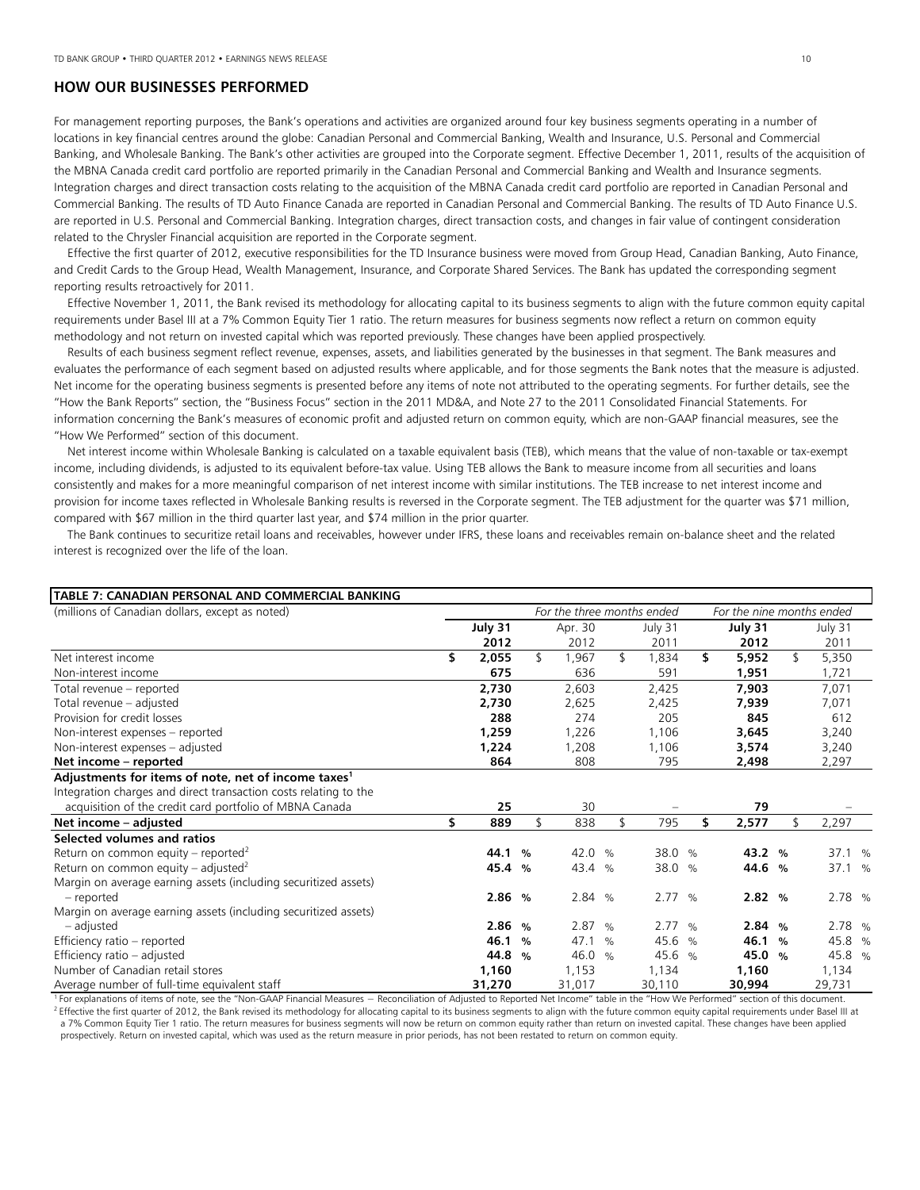# **HOW OUR BUSINESSES PERFORMED**

For management reporting purposes, the Bank's operations and activities are organized around four key business segments operating in a number of locations in key financial centres around the globe: Canadian Personal and Commercial Banking, Wealth and Insurance, U.S. Personal and Commercial Banking, and Wholesale Banking. The Bank's other activities are grouped into the Corporate segment. Effective December 1, 2011, results of the acquisition of the MBNA Canada credit card portfolio are reported primarily in the Canadian Personal and Commercial Banking and Wealth and Insurance segments. Integration charges and direct transaction costs relating to the acquisition of the MBNA Canada credit card portfolio are reported in Canadian Personal and Commercial Banking. The results of TD Auto Finance Canada are reported in Canadian Personal and Commercial Banking. The results of TD Auto Finance U.S. are reported in U.S. Personal and Commercial Banking. Integration charges, direct transaction costs, and changes in fair value of contingent consideration related to the Chrysler Financial acquisition are reported in the Corporate segment.

 Effective the first quarter of 2012, executive responsibilities for the TD Insurance business were moved from Group Head, Canadian Banking, Auto Finance, and Credit Cards to the Group Head, Wealth Management, Insurance, and Corporate Shared Services. The Bank has updated the corresponding segment reporting results retroactively for 2011.

 Effective November 1, 2011, the Bank revised its methodology for allocating capital to its business segments to align with the future common equity capital requirements under Basel III at a 7% Common Equity Tier 1 ratio. The return measures for business segments now reflect a return on common equity methodology and not return on invested capital which was reported previously. These changes have been applied prospectively.

 Results of each business segment reflect revenue, expenses, assets, and liabilities generated by the businesses in that segment. The Bank measures and evaluates the performance of each segment based on adjusted results where applicable, and for those segments the Bank notes that the measure is adjusted. Net income for the operating business segments is presented before any items of note not attributed to the operating segments. For further details, see the "How the Bank Reports" section, the "Business Focus" section in the 2011 MD&A, and Note 27 to the 2011 Consolidated Financial Statements. For information concerning the Bank's measures of economic profit and adjusted return on common equity, which are non-GAAP financial measures, see the "How We Performed" section of this document.

 Net interest income within Wholesale Banking is calculated on a taxable equivalent basis (TEB), which means that the value of non-taxable or tax-exempt income, including dividends, is adjusted to its equivalent before-tax value. Using TEB allows the Bank to measure income from all securities and loans consistently and makes for a more meaningful comparison of net interest income with similar institutions. The TEB increase to net interest income and provision for income taxes reflected in Wholesale Banking results is reversed in the Corporate segment. The TEB adjustment for the quarter was \$71 million, compared with \$67 million in the third quarter last year, and \$74 million in the prior quarter.

 The Bank continues to securitize retail loans and receivables, however under IFRS, these loans and receivables remain on-balance sheet and the related interest is recognized over the life of the loan.

| <b>TABLE 7: CANADIAN PERSONAL AND COMMERCIAL BANKING</b>         |             |               |                            |      |         |               |                           |               |         |  |
|------------------------------------------------------------------|-------------|---------------|----------------------------|------|---------|---------------|---------------------------|---------------|---------|--|
| (millions of Canadian dollars, except as noted)                  |             |               | For the three months ended |      |         |               | For the nine months ended |               |         |  |
|                                                                  | July 31     |               | Apr. 30                    |      | July 31 |               | July 31                   |               | July 31 |  |
|                                                                  | 2012        |               | 2012                       |      | 2011    |               | 2012                      |               | 2011    |  |
| Net interest income                                              | \$<br>2,055 | \$            | 1,967                      | \$   | 1,834   | \$            | 5,952                     | \$            | 5,350   |  |
| Non-interest income                                              | 675         |               | 636                        |      | 591     |               | 1,951                     |               | 1,721   |  |
| Total revenue - reported                                         | 2,730       |               | 2,603                      |      | 2,425   |               | 7,903                     |               | 7,071   |  |
| Total revenue - adjusted                                         | 2,730       |               | 2,625                      |      | 2,425   |               | 7,939                     |               | 7,071   |  |
| Provision for credit losses                                      | 288         |               | 274                        |      | 205     |               | 845                       |               | 612     |  |
| Non-interest expenses - reported                                 | 1,259       |               | 1,226                      |      | 1,106   |               | 3,645                     |               | 3,240   |  |
| Non-interest expenses - adjusted                                 | 1,224       |               | 1,208                      |      | 1,106   |               | 3,574                     |               | 3,240   |  |
| Net income - reported                                            | 864         |               | 808                        |      | 795     |               | 2,498                     |               | 2,297   |  |
| Adjustments for items of note, net of income taxes <sup>1</sup>  |             |               |                            |      |         |               |                           |               |         |  |
| Integration charges and direct transaction costs relating to the |             |               |                            |      |         |               |                           |               |         |  |
| acquisition of the credit card portfolio of MBNA Canada          | 25          |               | 30                         |      |         |               | 79                        |               |         |  |
| Net income - adjusted                                            | \$<br>889   | \$            | 838                        | \$   | 795     | \$            | 2,577                     |               | 2,297   |  |
| Selected volumes and ratios                                      |             |               |                            |      |         |               |                           |               |         |  |
| Return on common equity – reported <sup>2</sup>                  | 44.1        | $\frac{0}{n}$ | 42.0                       | $\%$ | 38.0 %  |               | 43.2 %                    |               | 37.1 %  |  |
| Return on common equity – adjusted <sup>2</sup>                  | 45.4        | $\frac{1}{2}$ | 43.4                       | $\%$ | 38.0 %  |               | 44.6 %                    |               | 37.1 %  |  |
| Margin on average earning assets (including securitized assets)  |             |               |                            |      |         |               |                           |               |         |  |
| - reported                                                       | 2.86%       |               | 2.84 %                     |      | 2.77%   |               | 2.82%                     |               | 2.78 %  |  |
| Margin on average earning assets (including securitized assets)  |             |               |                            |      |         |               |                           |               |         |  |
| – adjusted                                                       | 2.86        | $\frac{1}{2}$ | 2.87                       | $\%$ | 2.77    | $\%$          | 2.84%                     |               | 2.78 %  |  |
| Efficiency ratio - reported                                      | 46.1        | $\frac{0}{n}$ | 47.1                       | $\%$ | 45.6    | $\frac{1}{2}$ | 46.1                      | $\frac{0}{0}$ | 45.8 %  |  |
| Efficiency ratio - adjusted                                      | 44.8        | $\frac{0}{0}$ | 46.0 %                     |      | 45.6 %  |               | 45.0 %                    |               | 45.8 %  |  |
| Number of Canadian retail stores                                 | 1,160       |               | 1,153                      |      | 1,134   |               | 1,160                     |               | 1,134   |  |
| Average number of full-time equivalent staff                     | 31,270      |               | 31,017                     |      | 30,110  |               | 30,994                    |               | 29,731  |  |

<sup>1</sup> For explanations of items of note, see the "Non-GAAP Financial Measures – Reconciliation of Adjusted to Reported Net Income" table in the "How We Performed" section of this document.<br><sup>2</sup> Effective the first quarter of a 7% Common Equity Tier 1 ratio. The return measures for business segments will now be return on common equity rather than return on invested capital. These changes have been applied prospectively. Return on invested capital, which was used as the return measure in prior periods, has not been restated to return on common equity.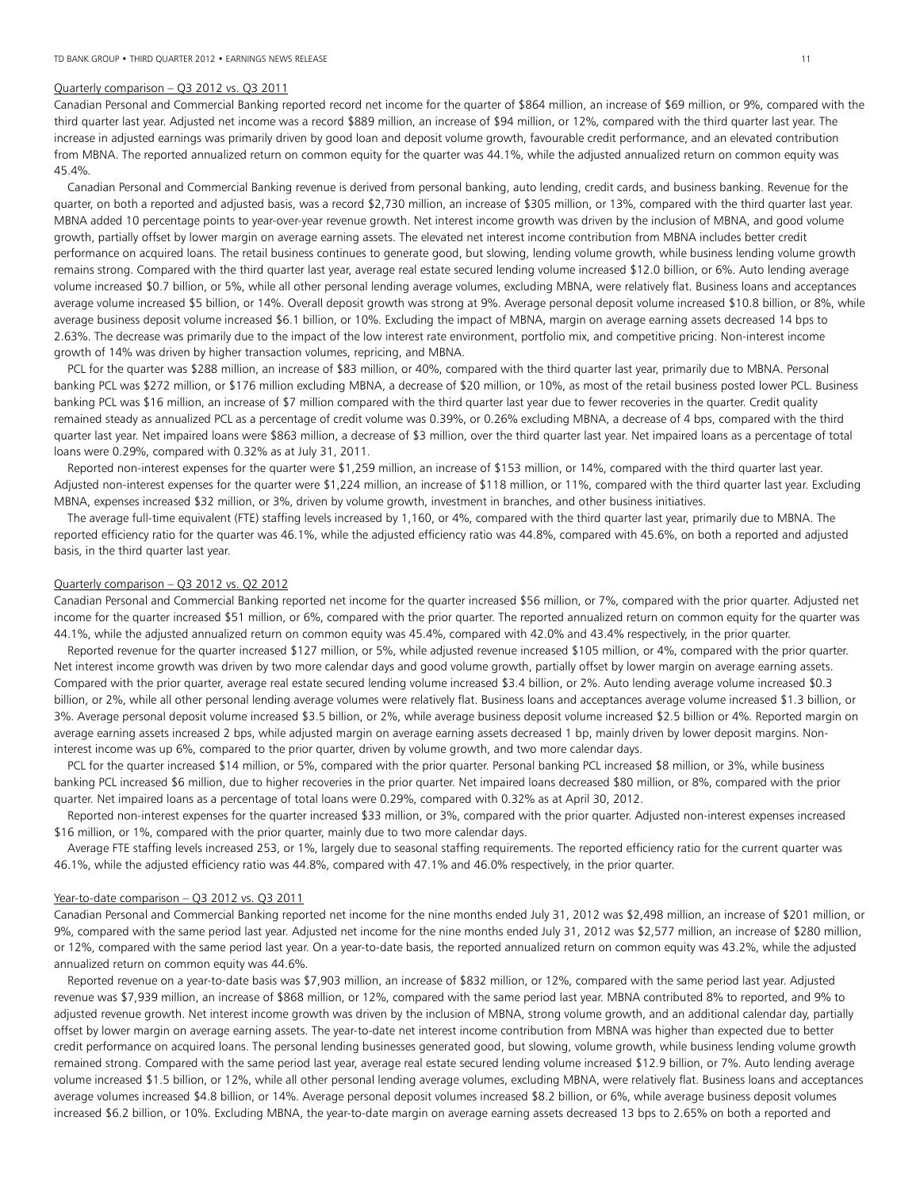## Quarterly comparison – Q3 2012 vs. Q3 2011

Canadian Personal and Commercial Banking reported record net income for the quarter of \$864 million, an increase of \$69 million, or 9%, compared with the third quarter last year. Adjusted net income was a record \$889 million, an increase of \$94 million, or 12%, compared with the third quarter last year. The increase in adjusted earnings was primarily driven by good loan and deposit volume growth, favourable credit performance, and an elevated contribution from MBNA. The reported annualized return on common equity for the quarter was 44.1%, while the adjusted annualized return on common equity was 45.4%.

 Canadian Personal and Commercial Banking revenue is derived from personal banking, auto lending, credit cards, and business banking. Revenue for the quarter, on both a reported and adjusted basis, was a record \$2,730 million, an increase of \$305 million, or 13%, compared with the third quarter last year. MBNA added 10 percentage points to year-over-year revenue growth. Net interest income growth was driven by the inclusion of MBNA, and good volume growth, partially offset by lower margin on average earning assets. The elevated net interest income contribution from MBNA includes better credit performance on acquired loans. The retail business continues to generate good, but slowing, lending volume growth, while business lending volume growth remains strong. Compared with the third quarter last year, average real estate secured lending volume increased \$12.0 billion, or 6%. Auto lending average volume increased \$0.7 billion, or 5%, while all other personal lending average volumes, excluding MBNA, were relatively flat. Business loans and acceptances average volume increased \$5 billion, or 14%. Overall deposit growth was strong at 9%. Average personal deposit volume increased \$10.8 billion, or 8%, while average business deposit volume increased \$6.1 billion, or 10%. Excluding the impact of MBNA, margin on average earning assets decreased 14 bps to 2.63%. The decrease was primarily due to the impact of the low interest rate environment, portfolio mix, and competitive pricing. Non-interest income growth of 14% was driven by higher transaction volumes, repricing, and MBNA.

 PCL for the quarter was \$288 million, an increase of \$83 million, or 40%, compared with the third quarter last year, primarily due to MBNA. Personal banking PCL was \$272 million, or \$176 million excluding MBNA, a decrease of \$20 million, or 10%, as most of the retail business posted lower PCL. Business banking PCL was \$16 million, an increase of \$7 million compared with the third quarter last year due to fewer recoveries in the quarter. Credit quality remained steady as annualized PCL as a percentage of credit volume was 0.39%, or 0.26% excluding MBNA, a decrease of 4 bps, compared with the third quarter last year. Net impaired loans were \$863 million, a decrease of \$3 million, over the third quarter last year. Net impaired loans as a percentage of total loans were 0.29%, compared with 0.32% as at July 31, 2011.

 Reported non-interest expenses for the quarter were \$1,259 million, an increase of \$153 million, or 14%, compared with the third quarter last year. Adjusted non-interest expenses for the quarter were \$1,224 million, an increase of \$118 million, or 11%, compared with the third quarter last year. Excluding MBNA, expenses increased \$32 million, or 3%, driven by volume growth, investment in branches, and other business initiatives.

 The average full-time equivalent (FTE) staffing levels increased by 1,160, or 4%, compared with the third quarter last year, primarily due to MBNA. The reported efficiency ratio for the quarter was 46.1%, while the adjusted efficiency ratio was 44.8%, compared with 45.6%, on both a reported and adjusted basis, in the third quarter last year.

# Quarterly comparison - Q3 2012 vs. Q2 2012

Canadian Personal and Commercial Banking reported net income for the quarter increased \$56 million, or 7%, compared with the prior quarter. Adjusted net income for the quarter increased \$51 million, or 6%, compared with the prior quarter. The reported annualized return on common equity for the quarter was 44.1%, while the adjusted annualized return on common equity was 45.4%, compared with 42.0% and 43.4% respectively, in the prior quarter.

 Reported revenue for the quarter increased \$127 million, or 5%, while adjusted revenue increased \$105 million, or 4%, compared with the prior quarter. Net interest income growth was driven by two more calendar days and good volume growth, partially offset by lower margin on average earning assets. Compared with the prior quarter, average real estate secured lending volume increased \$3.4 billion, or 2%. Auto lending average volume increased \$0.3 billion, or 2%, while all other personal lending average volumes were relatively flat. Business loans and acceptances average volume increased \$1.3 billion, or 3%. Average personal deposit volume increased \$3.5 billion, or 2%, while average business deposit volume increased \$2.5 billion or 4%. Reported margin on average earning assets increased 2 bps, while adjusted margin on average earning assets decreased 1 bp, mainly driven by lower deposit margins. Noninterest income was up 6%, compared to the prior quarter, driven by volume growth, and two more calendar days.

 PCL for the quarter increased \$14 million, or 5%, compared with the prior quarter. Personal banking PCL increased \$8 million, or 3%, while business banking PCL increased \$6 million, due to higher recoveries in the prior quarter. Net impaired loans decreased \$80 million, or 8%, compared with the prior quarter. Net impaired loans as a percentage of total loans were 0.29%, compared with 0.32% as at April 30, 2012.

 Reported non-interest expenses for the quarter increased \$33 million, or 3%, compared with the prior quarter. Adjusted non-interest expenses increased \$16 million, or 1%, compared with the prior quarter, mainly due to two more calendar days.

 Average FTE staffing levels increased 253, or 1%, largely due to seasonal staffing requirements. The reported efficiency ratio for the current quarter was 46.1%, while the adjusted efficiency ratio was 44.8%, compared with 47.1% and 46.0% respectively, in the prior quarter.

#### Year-to-date comparison - Q3 2012 vs. Q3 2011

Canadian Personal and Commercial Banking reported net income for the nine months ended July 31, 2012 was \$2,498 million, an increase of \$201 million, or 9%, compared with the same period last year. Adjusted net income for the nine months ended July 31, 2012 was \$2,577 million, an increase of \$280 million, or 12%, compared with the same period last year. On a year-to-date basis, the reported annualized return on common equity was 43.2%, while the adjusted annualized return on common equity was 44.6%.

 Reported revenue on a year-to-date basis was \$7,903 million, an increase of \$832 million, or 12%, compared with the same period last year. Adjusted revenue was \$7,939 million, an increase of \$868 million, or 12%, compared with the same period last year. MBNA contributed 8% to reported, and 9% to adjusted revenue growth. Net interest income growth was driven by the inclusion of MBNA, strong volume growth, and an additional calendar day, partially offset by lower margin on average earning assets. The year-to-date net interest income contribution from MBNA was higher than expected due to better credit performance on acquired loans. The personal lending businesses generated good, but slowing, volume growth, while business lending volume growth remained strong. Compared with the same period last year, average real estate secured lending volume increased \$12.9 billion, or 7%. Auto lending average volume increased \$1.5 billion, or 12%, while all other personal lending average volumes, excluding MBNA, were relatively flat. Business loans and acceptances average volumes increased \$4.8 billion, or 14%. Average personal deposit volumes increased \$8.2 billion, or 6%, while average business deposit volumes increased \$6.2 billion, or 10%. Excluding MBNA, the year-to-date margin on average earning assets decreased 13 bps to 2.65% on both a reported and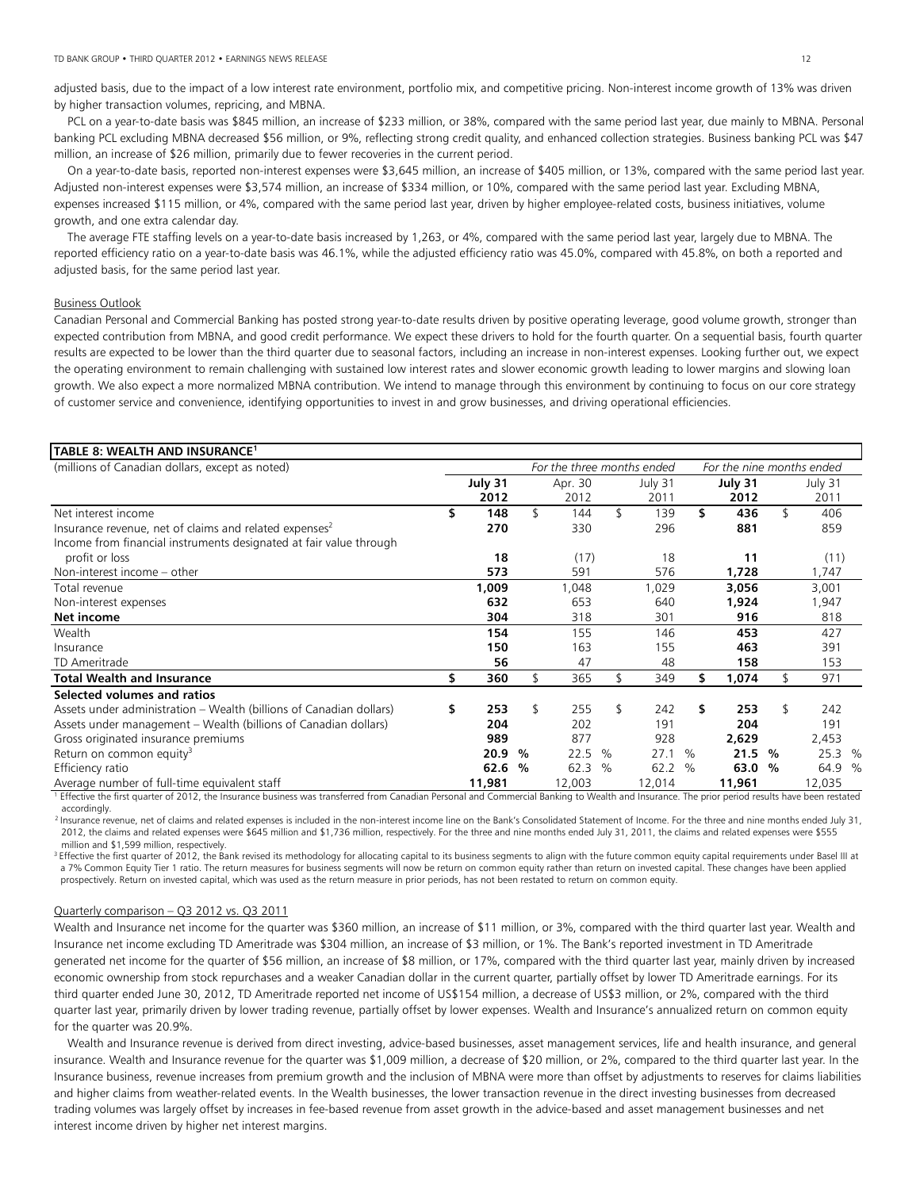adjusted basis, due to the impact of a low interest rate environment, portfolio mix, and competitive pricing. Non-interest income growth of 13% was driven by higher transaction volumes, repricing, and MBNA.

 PCL on a year-to-date basis was \$845 million, an increase of \$233 million, or 38%, compared with the same period last year, due mainly to MBNA. Personal banking PCL excluding MBNA decreased \$56 million, or 9%, reflecting strong credit quality, and enhanced collection strategies. Business banking PCL was \$47 million, an increase of \$26 million, primarily due to fewer recoveries in the current period.

 On a year-to-date basis, reported non-interest expenses were \$3,645 million, an increase of \$405 million, or 13%, compared with the same period last year. Adjusted non-interest expenses were \$3,574 million, an increase of \$334 million, or 10%, compared with the same period last year. Excluding MBNA, expenses increased \$115 million, or 4%, compared with the same period last year, driven by higher employee-related costs, business initiatives, volume growth, and one extra calendar day.

 The average FTE staffing levels on a year-to-date basis increased by 1,263, or 4%, compared with the same period last year, largely due to MBNA. The reported efficiency ratio on a year-to-date basis was 46.1%, while the adjusted efficiency ratio was 45.0%, compared with 45.8%, on both a reported and adjusted basis, for the same period last year.

#### Business Outlook

Canadian Personal and Commercial Banking has posted strong year-to-date results driven by positive operating leverage, good volume growth, stronger than expected contribution from MBNA, and good credit performance. We expect these drivers to hold for the fourth quarter. On a sequential basis, fourth quarter results are expected to be lower than the third quarter due to seasonal factors, including an increase in non-interest expenses. Looking further out, we expect the operating environment to remain challenging with sustained low interest rates and slower economic growth leading to lower margins and slowing loan growth. We also expect a more normalized MBNA contribution. We intend to manage through this environment by continuing to focus on our core strategy of customer service and convenience, identifying opportunities to invest in and grow businesses, and driving operational efficiencies.

# **TABLE 8: WEALTH AND INSURANCE1**  (millions of Canadian dollars, except as noted) *For the three months ended For the nine months ended*  **July 31** Apr. 30 July 31 **July 31** July 31 **2012** 2012 2011 **2012** 2011 Net interest income **\$ 148** \$ 144 \$ 139 **\$ 436** \$ 406 Insurance revenue, net of claims and related expenses<sup>2</sup> 1270 270 330 296 881 859 Income from financial instruments designated at fair value through profit or loss **18** (17) 18 **11** (11) Non-interest income – other **573** 591 576 **1,728** 1,747 Total revenue **1,009** 1,048 1,029 **3,056** 3,001 Non-interest expenses **632** 653 640 **1,924** 1,947 **Net income 304** 318 301 **916** 818 Wealth **154** 155 146 **453** 427 Insurance **150** 163 155 **463** 391 TD Ameritrade **56** 47 48 **158** 153 **Total Wealth and Insurance \$ 360** \$ 365 \$ 349 **\$ 1,074** \$ 971 **Selected volumes and ratios**  Assets under administration – Wealth (billions of Canadian dollars) **\$ 253** \$ 255 \$ 242 **\$ 253** \$ 242 Assets under management – Wealth (billions of Canadian dollars) **204** 202 191 **204** 191 Gross originated insurance premiums **989** 877 928 **2,629** 2,453 Return on common equity3 **20.9 %** 22.5 % 27.1 % **21.5 %** 25.3 % Efficiency ratio **62.6 %** 62.3 % 62.2 % **63.0 %** 64.9 % Average number of full-time equivalent staff<br>In the strange of the sequivalent staff and the sequivalent staff and to the sequival of the sequivalent of 20<br>A Effective the first quarter of 2012, the Insurance business was

accordingly.

<sup>2</sup> Insurance revenue, net of claims and related expenses is included in the non-interest income line on the Bank's Consolidated Statement of Income. For the three and nine months ended July 31, 2012, the claims and related expenses were \$645 million and \$1,736 million, respectively. For the three and nine months ended July 31, 2011, the claims and related expenses were \$555 million and \$1,599 million, respectively.

<sup>3</sup> Effective the first quarter of 2012, the Bank revised its methodology for allocating capital to its business segments to align with the future common equity capital requirements under Basel III at a 7% Common Equity Tier 1 ratio. The return measures for business segments will now be return on common equity rather than return on invested capital. These changes have been applied prospectively. Return on invested capital, which was used as the return measure in prior periods, has not been restated to return on common equity.

#### Quarterly comparison – Q3 2012 vs. Q3 2011

Wealth and Insurance net income for the quarter was \$360 million, an increase of \$11 million, or 3%, compared with the third quarter last year. Wealth and Insurance net income excluding TD Ameritrade was \$304 million, an increase of \$3 million, or 1%. The Bank's reported investment in TD Ameritrade generated net income for the quarter of \$56 million, an increase of \$8 million, or 17%, compared with the third quarter last year, mainly driven by increased economic ownership from stock repurchases and a weaker Canadian dollar in the current quarter, partially offset by lower TD Ameritrade earnings. For its third quarter ended June 30, 2012, TD Ameritrade reported net income of US\$154 million, a decrease of US\$3 million, or 2%, compared with the third quarter last year, primarily driven by lower trading revenue, partially offset by lower expenses. Wealth and Insurance's annualized return on common equity for the quarter was 20.9%.

 Wealth and Insurance revenue is derived from direct investing, advice-based businesses, asset management services, life and health insurance, and general insurance. Wealth and Insurance revenue for the quarter was \$1,009 million, a decrease of \$20 million, or 2%, compared to the third quarter last year. In the Insurance business, revenue increases from premium growth and the inclusion of MBNA were more than offset by adjustments to reserves for claims liabilities and higher claims from weather-related events. In the Wealth businesses, the lower transaction revenue in the direct investing businesses from decreased trading volumes was largely offset by increases in fee-based revenue from asset growth in the advice-based and asset management businesses and net interest income driven by higher net interest margins.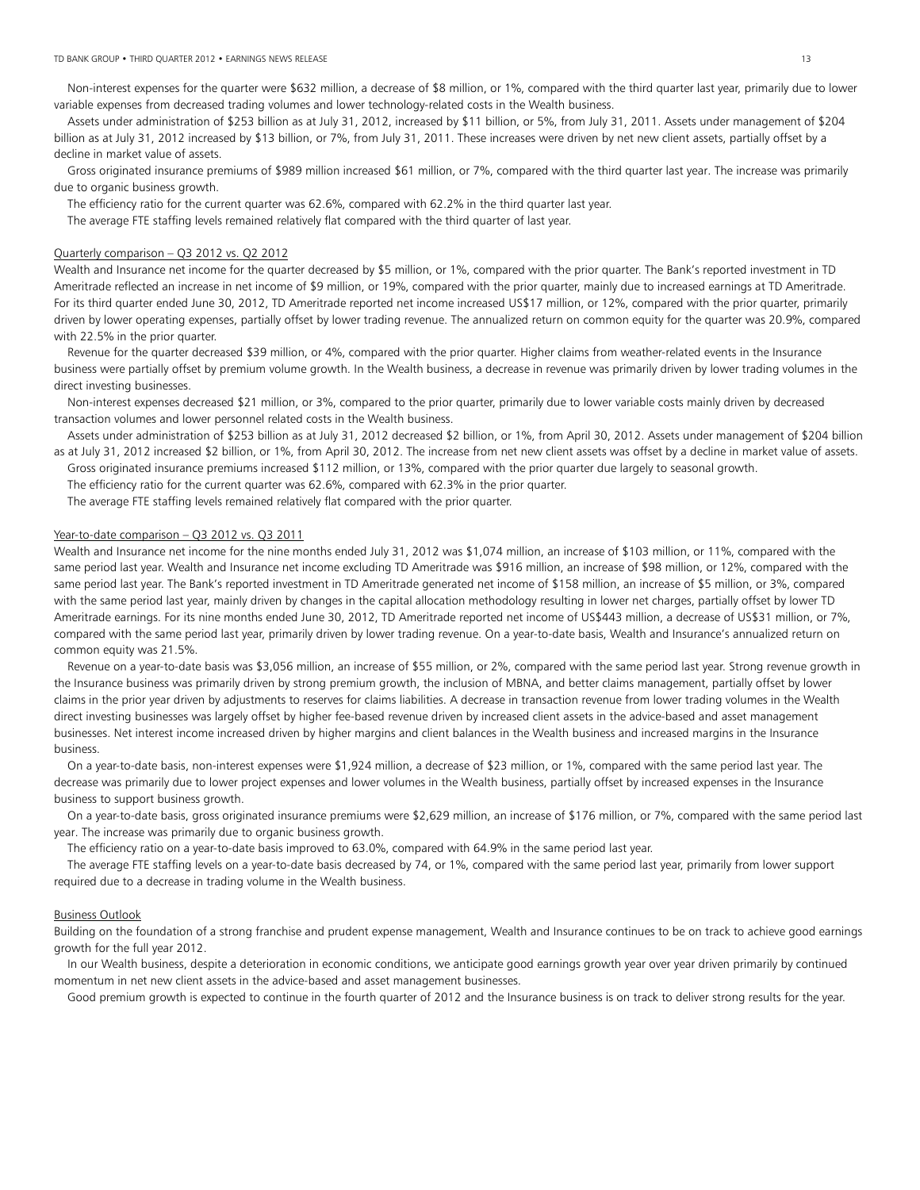Non-interest expenses for the quarter were \$632 million, a decrease of \$8 million, or 1%, compared with the third quarter last year, primarily due to lower variable expenses from decreased trading volumes and lower technology-related costs in the Wealth business.

 Assets under administration of \$253 billion as at July 31, 2012, increased by \$11 billion, or 5%, from July 31, 2011. Assets under management of \$204 billion as at July 31, 2012 increased by \$13 billion, or 7%, from July 31, 2011. These increases were driven by net new client assets, partially offset by a decline in market value of assets.

 Gross originated insurance premiums of \$989 million increased \$61 million, or 7%, compared with the third quarter last year. The increase was primarily due to organic business growth.

The efficiency ratio for the current quarter was 62.6%, compared with 62.2% in the third quarter last year.

The average FTE staffing levels remained relatively flat compared with the third quarter of last year.

#### Quarterly comparison – Q3 2012 vs. Q2 2012

Wealth and Insurance net income for the quarter decreased by \$5 million, or 1%, compared with the prior quarter. The Bank's reported investment in TD Ameritrade reflected an increase in net income of \$9 million, or 19%, compared with the prior quarter, mainly due to increased earnings at TD Ameritrade. For its third quarter ended June 30, 2012, TD Ameritrade reported net income increased US\$17 million, or 12%, compared with the prior quarter, primarily driven by lower operating expenses, partially offset by lower trading revenue. The annualized return on common equity for the quarter was 20.9%, compared with 22.5% in the prior quarter.

 Revenue for the quarter decreased \$39 million, or 4%, compared with the prior quarter. Higher claims from weather-related events in the Insurance business were partially offset by premium volume growth. In the Wealth business, a decrease in revenue was primarily driven by lower trading volumes in the direct investing businesses.

 Non-interest expenses decreased \$21 million, or 3%, compared to the prior quarter, primarily due to lower variable costs mainly driven by decreased transaction volumes and lower personnel related costs in the Wealth business.

 Assets under administration of \$253 billion as at July 31, 2012 decreased \$2 billion, or 1%, from April 30, 2012. Assets under management of \$204 billion as at July 31, 2012 increased \$2 billion, or 1%, from April 30, 2012. The increase from net new client assets was offset by a decline in market value of assets. Gross originated insurance premiums increased \$112 million, or 13%, compared with the prior quarter due largely to seasonal growth.

The efficiency ratio for the current quarter was 62.6%, compared with 62.3% in the prior quarter.

The average FTE staffing levels remained relatively flat compared with the prior quarter.

# Year-to-date comparison – Q3 2012 vs. Q3 2011

Wealth and Insurance net income for the nine months ended July 31, 2012 was \$1,074 million, an increase of \$103 million, or 11%, compared with the same period last year. Wealth and Insurance net income excluding TD Ameritrade was \$916 million, an increase of \$98 million, or 12%, compared with the same period last year. The Bank's reported investment in TD Ameritrade generated net income of \$158 million, an increase of \$5 million, or 3%, compared with the same period last year, mainly driven by changes in the capital allocation methodology resulting in lower net charges, partially offset by lower TD Ameritrade earnings. For its nine months ended June 30, 2012, TD Ameritrade reported net income of US\$443 million, a decrease of US\$31 million, or 7%, compared with the same period last year, primarily driven by lower trading revenue. On a year-to-date basis, Wealth and Insurance's annualized return on common equity was 21.5%.

 Revenue on a year-to-date basis was \$3,056 million, an increase of \$55 million, or 2%, compared with the same period last year. Strong revenue growth in the Insurance business was primarily driven by strong premium growth, the inclusion of MBNA, and better claims management, partially offset by lower claims in the prior year driven by adjustments to reserves for claims liabilities. A decrease in transaction revenue from lower trading volumes in the Wealth direct investing businesses was largely offset by higher fee-based revenue driven by increased client assets in the advice-based and asset management businesses. Net interest income increased driven by higher margins and client balances in the Wealth business and increased margins in the Insurance business.

 On a year-to-date basis, non-interest expenses were \$1,924 million, a decrease of \$23 million, or 1%, compared with the same period last year. The decrease was primarily due to lower project expenses and lower volumes in the Wealth business, partially offset by increased expenses in the Insurance business to support business growth.

 On a year-to-date basis, gross originated insurance premiums were \$2,629 million, an increase of \$176 million, or 7%, compared with the same period last year. The increase was primarily due to organic business growth.

The efficiency ratio on a year-to-date basis improved to 63.0%, compared with 64.9% in the same period last year.

 The average FTE staffing levels on a year-to-date basis decreased by 74, or 1%, compared with the same period last year, primarily from lower support required due to a decrease in trading volume in the Wealth business.

#### Business Outlook

Building on the foundation of a strong franchise and prudent expense management, Wealth and Insurance continues to be on track to achieve good earnings growth for the full year 2012.

 In our Wealth business, despite a deterioration in economic conditions, we anticipate good earnings growth year over year driven primarily by continued momentum in net new client assets in the advice-based and asset management businesses.

Good premium growth is expected to continue in the fourth quarter of 2012 and the Insurance business is on track to deliver strong results for the year.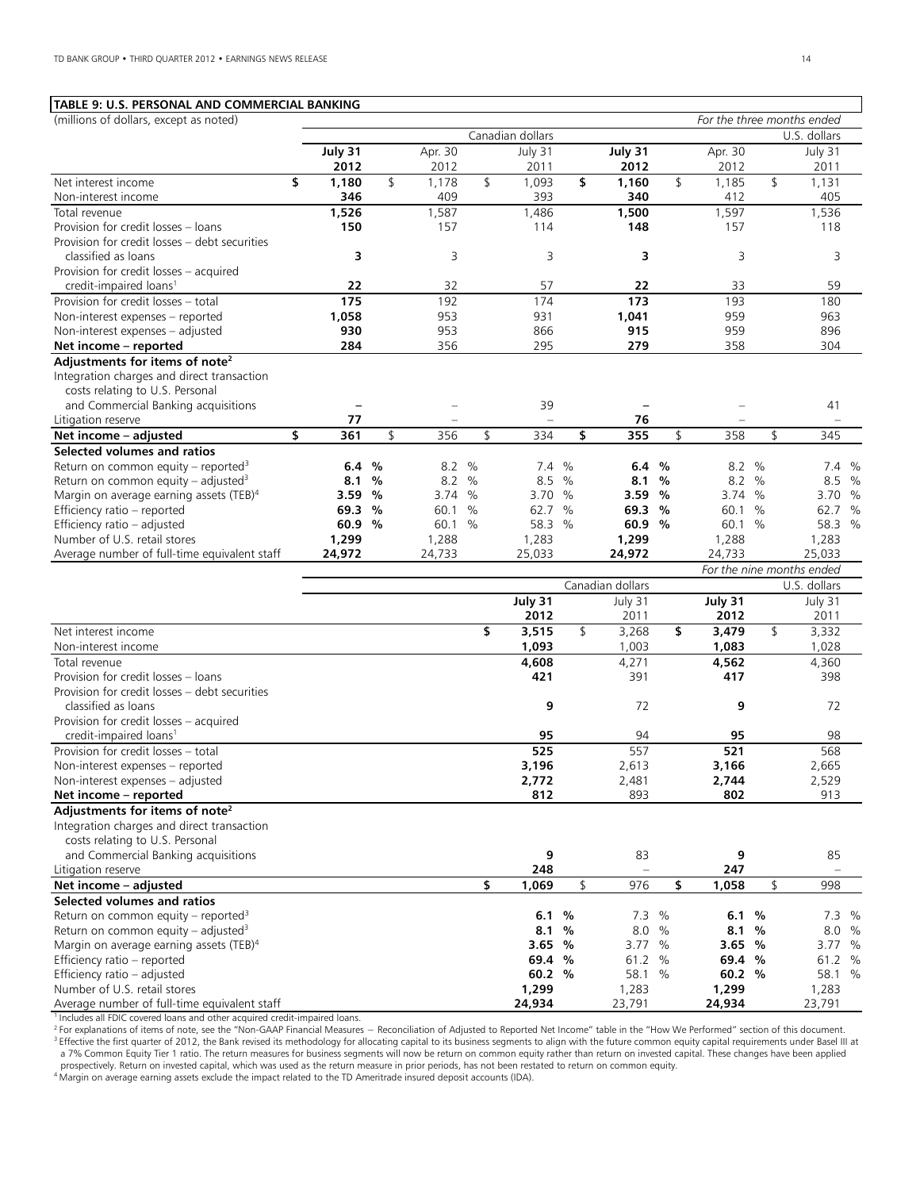# **TABLE 9: U.S. PERSONAL AND COMMERCIAL BANKING**

| <b>INDEE 3: 0.3. I ENSONAL AND CONTINENCIAL DANNING</b>                              |                 |      |                 |               |                  |      |                  |    |                            |               |                           |      |
|--------------------------------------------------------------------------------------|-----------------|------|-----------------|---------------|------------------|------|------------------|----|----------------------------|---------------|---------------------------|------|
| (millions of dollars, except as noted)                                               |                 |      |                 |               |                  |      |                  |    | For the three months ended |               |                           |      |
|                                                                                      |                 |      |                 |               | Canadian dollars |      |                  |    |                            |               | U.S. dollars              |      |
|                                                                                      | July 31<br>2012 |      | Apr. 30<br>2012 |               | July 31<br>2011  |      | July 31<br>2012  |    | Apr. 30<br>2012            |               | July 31<br>2011           |      |
|                                                                                      |                 |      |                 |               |                  |      |                  |    |                            |               |                           |      |
| Net interest income                                                                  | \$<br>1,180     | \$   | 1,178           | \$            | 1,093            |      | \$<br>1,160      | \$ | 1,185                      |               | \$<br>1,131               |      |
| Non-interest income                                                                  | 346             |      | 409             |               | 393              |      | 340              |    | 412                        |               | 405                       |      |
| Total revenue                                                                        | 1,526           |      | 1,587           |               | 1,486            |      | 1,500            |    | 1,597                      |               | 1,536                     |      |
| Provision for credit losses - loans<br>Provision for credit losses - debt securities | 150             |      | 157             |               | 114              |      | 148              |    | 157                        |               | 118                       |      |
| classified as loans                                                                  | 3               |      |                 |               |                  |      | 3                |    |                            |               |                           |      |
| Provision for credit losses - acquired                                               |                 |      | 3               |               | 3                |      |                  |    | 3                          |               | 3                         |      |
| credit-impaired loans <sup>1</sup>                                                   | 22              |      | 32              |               | 57               |      | 22               |    | 33                         |               | 59                        |      |
|                                                                                      | 175             |      | 192             |               | 174              |      | 173              |    | 193                        |               | 180                       |      |
| Provision for credit losses - total<br>Non-interest expenses - reported              |                 |      |                 |               |                  |      |                  |    |                            |               | 963                       |      |
|                                                                                      | 1,058<br>930    |      | 953<br>953      |               | 931<br>866       |      | 1,041<br>915     |    | 959<br>959                 |               | 896                       |      |
| Non-interest expenses - adjusted<br>Net income - reported                            | 284             |      | 356             |               | 295              |      | 279              |    | 358                        |               | 304                       |      |
| Adjustments for items of note <sup>2</sup>                                           |                 |      |                 |               |                  |      |                  |    |                            |               |                           |      |
|                                                                                      |                 |      |                 |               |                  |      |                  |    |                            |               |                           |      |
| Integration charges and direct transaction                                           |                 |      |                 |               |                  |      |                  |    |                            |               |                           |      |
| costs relating to U.S. Personal                                                      |                 |      |                 |               | 39               |      |                  |    |                            |               | 41                        |      |
| and Commercial Banking acquisitions<br>Litigation reserve                            | 77              |      |                 |               |                  |      | 76               |    |                            |               |                           |      |
| Net income - adjusted                                                                | \$<br>361       | \$   | 356             | \$            | 334              |      | \$<br>355        | \$ | 358                        |               | \$<br>345                 |      |
| Selected volumes and ratios                                                          |                 |      |                 |               |                  |      |                  |    |                            |               |                           |      |
| Return on common equity – reported <sup>3</sup>                                      |                 | $\%$ | 8.2             | $\%$          | 7.4              | $\%$ | 6.4              | %  | 8.2                        | $\%$          | 7.4                       | $\%$ |
| Return on common equity – adjusted <sup>3</sup>                                      | 6.4<br>8.1      | %    | 8.2 %           |               | 8.5              | %    | 8.1              | %  | 8.2                        | $\%$          | 8.5 %                     |      |
|                                                                                      | 3.59            | $\%$ | 3.74            | $\frac{0}{0}$ | 3.70             | $\%$ | 3.59 %           |    | 3.74                       | $\%$          | 3.70 %                    |      |
| Margin on average earning assets (TEB) <sup>4</sup><br>Efficiency ratio - reported   | 69.3            | %    | 60.1            | $\%$          | 62.7             | $\%$ | 69.3             | %  | 60.1                       | $\frac{0}{0}$ | 62.7                      | $\%$ |
| Efficiency ratio - adjusted                                                          | 60.9 %          |      | 60.1 %          |               | 58.3 %           |      | 60.9%            |    | 60.1 %                     |               | 58.3 %                    |      |
| Number of U.S. retail stores                                                         | 1,299           |      | 1,288           |               | 1,283            |      | 1,299            |    | 1,288                      |               | 1,283                     |      |
| Average number of full-time equivalent staff                                         | 24,972          |      | 24,733          |               | 25,033           |      | 24,972           |    | 24,733                     |               | 25,033                    |      |
|                                                                                      |                 |      |                 |               |                  |      |                  |    |                            |               | For the nine months ended |      |
|                                                                                      |                 |      |                 |               |                  |      | Canadian dollars |    |                            |               | U.S. dollars              |      |
|                                                                                      |                 |      |                 |               | July 31          |      | July 31          |    | July 31                    |               | July 31                   |      |
|                                                                                      |                 |      |                 |               | 2012             |      | 2011             |    | 2012                       |               | 2011                      |      |
| Net interest income                                                                  |                 |      |                 | \$            | 3,515            |      | \$<br>3,268      | \$ | 3,479                      |               | \$<br>3,332               |      |
| Non-interest income                                                                  |                 |      |                 |               | 1,093            |      | 1,003            |    | 1,083                      |               | 1,028                     |      |
| Total revenue                                                                        |                 |      |                 |               | 4,608            |      | 4,271            |    | 4,562                      |               | 4,360                     |      |
| Provision for credit losses - loans                                                  |                 |      |                 |               | 421              |      | 391              |    | 417                        |               | 398                       |      |
| Provision for credit losses - debt securities                                        |                 |      |                 |               |                  |      |                  |    |                            |               |                           |      |
| classified as loans                                                                  |                 |      |                 |               | 9                |      | 72               |    | 9                          |               | 72                        |      |
| Provision for credit losses - acquired                                               |                 |      |                 |               |                  |      |                  |    |                            |               |                           |      |
| credit-impaired loans <sup>1</sup>                                                   |                 |      |                 |               | 95               |      | 94               |    | 95                         |               | 98                        |      |
| Provision for credit losses - total                                                  |                 |      |                 |               | 525              |      | 557              |    | 521                        |               | 568                       |      |
| Non-interest expenses - reported                                                     |                 |      |                 |               | 3,196            |      | 2,613            |    | 3,166                      |               | 2,665                     |      |
| Non-interest expenses - adjusted                                                     |                 |      |                 |               | 2,772            |      | 2,481            |    | 2,744                      |               | 2,529                     |      |
| Net income - reported                                                                |                 |      |                 |               | 812              |      | 893              |    | 802                        |               | 913                       |      |
| Adjustments for items of note <sup>2</sup>                                           |                 |      |                 |               |                  |      |                  |    |                            |               |                           |      |
| Integration charges and direct transaction                                           |                 |      |                 |               |                  |      |                  |    |                            |               |                           |      |
| costs relating to U.S. Personal                                                      |                 |      |                 |               |                  |      |                  |    |                            |               |                           |      |
| and Commercial Banking acquisitions                                                  |                 |      |                 |               | 9                |      | 83               |    | 9                          |               | 85                        |      |
| Litigation reserve                                                                   |                 |      |                 |               | 248              |      |                  |    | 247                        |               |                           |      |
| Net income - adjusted                                                                |                 |      |                 | \$            | 1,069            |      | \$<br>976        | \$ | 1,058                      |               | \$<br>998                 |      |
| Selected volumes and ratios                                                          |                 |      |                 |               |                  |      |                  |    |                            |               |                           |      |
| Return on common equity – reported <sup>3</sup>                                      |                 |      |                 |               | 6.1              | %    | 7.3%             |    | 6.1                        | %             | 7.3 %                     |      |
| Return on common equity – adjusted <sup>3</sup>                                      |                 |      |                 |               | 8.1              | $\%$ | 8.0%             |    | 8.1%                       |               | 8.0%                      |      |
| Margin on average earning assets (TEB) <sup>4</sup>                                  |                 |      |                 |               | 3.65%            |      | 3.77 %           |    | 3.65 %                     |               | 3.77 %                    |      |
| Efficiency ratio - reported                                                          |                 |      |                 |               | 69.4 %           |      | 61.2 %           |    | 69.4 %                     |               | 61.2 %                    |      |
| Efficiency ratio - adjusted                                                          |                 |      |                 |               | 60.2 %           |      | 58.1 %           |    | 60.2 %                     |               | 58.1 %                    |      |
| Number of U.S. retail stores                                                         |                 |      |                 |               | 1,299            |      | 1,283            |    | 1,299                      |               | 1,283                     |      |
| Average number of full-time equivalent staff                                         |                 |      |                 |               | 24,934           |      | 23,791           |    | 24,934                     |               | 23,791                    |      |

<sup>1</sup> Includes all FDIC covered loans and other acquired credit-impaired loans.<br><sup>2</sup> For explanations of items of note, see the "Non-GAAP Financial Measures – Reconciliation of Adjusted to Reported Net Income" table in the "H <sup>2</sup> For explanations of items of note, see the "Non-GAAP Financial Measures – Reconciliation of Adjusted to Reported Net Income" table in the "How We Performed" section of this document.<br><sup>2</sup> Effective the first quarter of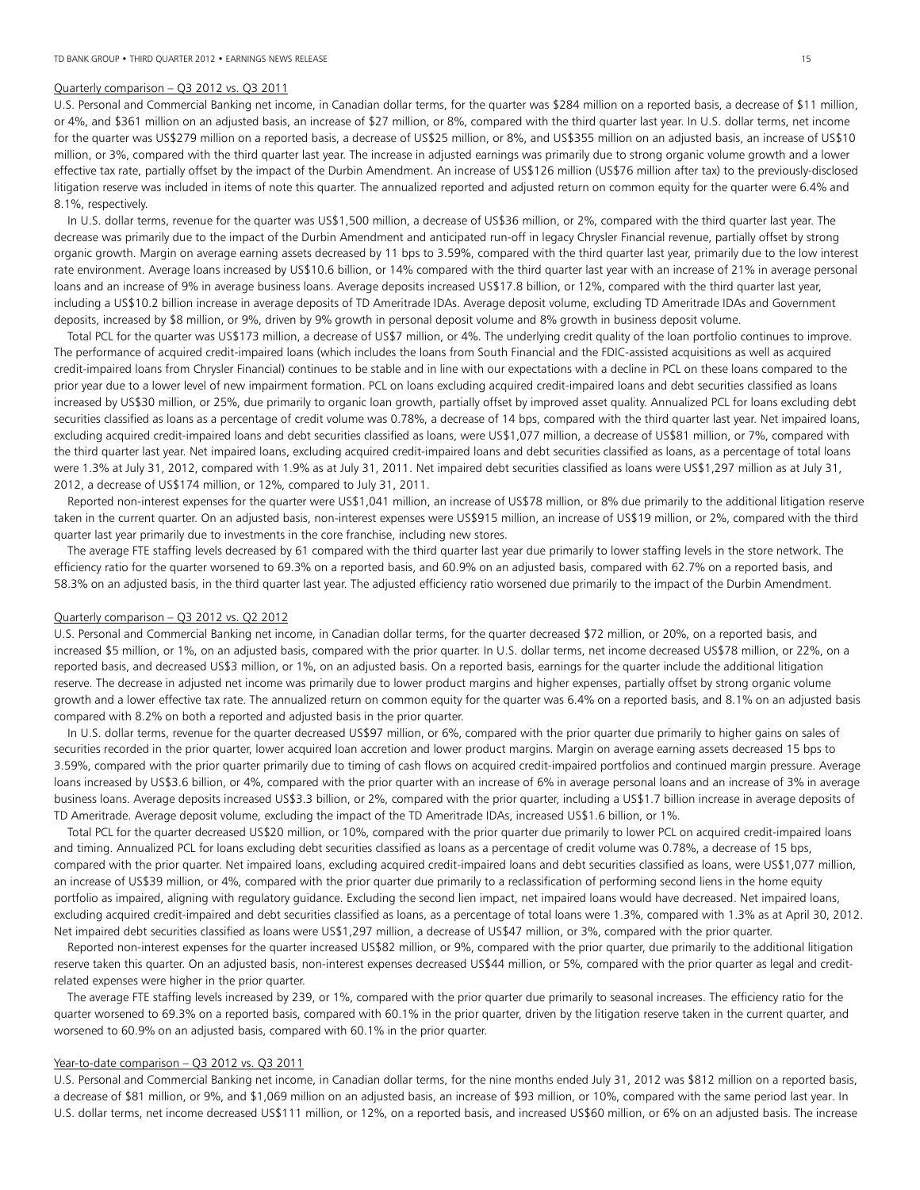#### Quarterly comparison – Q3 2012 vs. Q3 2011

U.S. Personal and Commercial Banking net income, in Canadian dollar terms, for the quarter was \$284 million on a reported basis, a decrease of \$11 million, or 4%, and \$361 million on an adjusted basis, an increase of \$27 million, or 8%, compared with the third quarter last year. In U.S. dollar terms, net income for the quarter was US\$279 million on a reported basis, a decrease of US\$25 million, or 8%, and US\$355 million on an adjusted basis, an increase of US\$10 million, or 3%, compared with the third quarter last year. The increase in adjusted earnings was primarily due to strong organic volume growth and a lower effective tax rate, partially offset by the impact of the Durbin Amendment. An increase of US\$126 million (US\$76 million after tax) to the previously-disclosed litigation reserve was included in items of note this quarter. The annualized reported and adjusted return on common equity for the quarter were 6.4% and 8.1%, respectively.

 In U.S. dollar terms, revenue for the quarter was US\$1,500 million, a decrease of US\$36 million, or 2%, compared with the third quarter last year. The decrease was primarily due to the impact of the Durbin Amendment and anticipated run-off in legacy Chrysler Financial revenue, partially offset by strong organic growth. Margin on average earning assets decreased by 11 bps to 3.59%, compared with the third quarter last year, primarily due to the low interest rate environment. Average loans increased by US\$10.6 billion, or 14% compared with the third quarter last year with an increase of 21% in average personal loans and an increase of 9% in average business loans. Average deposits increased US\$17.8 billion, or 12%, compared with the third quarter last year, including a US\$10.2 billion increase in average deposits of TD Ameritrade IDAs. Average deposit volume, excluding TD Ameritrade IDAs and Government deposits, increased by \$8 million, or 9%, driven by 9% growth in personal deposit volume and 8% growth in business deposit volume.

 Total PCL for the quarter was US\$173 million, a decrease of US\$7 million, or 4%. The underlying credit quality of the loan portfolio continues to improve. The performance of acquired credit-impaired loans (which includes the loans from South Financial and the FDIC-assisted acquisitions as well as acquired credit-impaired loans from Chrysler Financial) continues to be stable and in line with our expectations with a decline in PCL on these loans compared to the prior year due to a lower level of new impairment formation. PCL on loans excluding acquired credit-impaired loans and debt securities classified as loans increased by US\$30 million, or 25%, due primarily to organic loan growth, partially offset by improved asset quality. Annualized PCL for loans excluding debt securities classified as loans as a percentage of credit volume was 0.78%, a decrease of 14 bps, compared with the third quarter last year. Net impaired loans, excluding acquired credit-impaired loans and debt securities classified as loans, were US\$1,077 million, a decrease of US\$81 million, or 7%, compared with the third quarter last year. Net impaired loans, excluding acquired credit-impaired loans and debt securities classified as loans, as a percentage of total loans were 1.3% at July 31, 2012, compared with 1.9% as at July 31, 2011. Net impaired debt securities classified as loans were US\$1,297 million as at July 31, 2012, a decrease of US\$174 million, or 12%, compared to July 31, 2011.

 Reported non-interest expenses for the quarter were US\$1,041 million, an increase of US\$78 million, or 8% due primarily to the additional litigation reserve taken in the current quarter. On an adjusted basis, non-interest expenses were US\$915 million, an increase of US\$19 million, or 2%, compared with the third quarter last year primarily due to investments in the core franchise, including new stores.

 The average FTE staffing levels decreased by 61 compared with the third quarter last year due primarily to lower staffing levels in the store network. The efficiency ratio for the quarter worsened to 69.3% on a reported basis, and 60.9% on an adjusted basis, compared with 62.7% on a reported basis, and 58.3% on an adjusted basis, in the third quarter last year. The adjusted efficiency ratio worsened due primarily to the impact of the Durbin Amendment.

## Quarterly comparison - Q3 2012 vs. Q2 2012

U.S. Personal and Commercial Banking net income, in Canadian dollar terms, for the quarter decreased \$72 million, or 20%, on a reported basis, and increased \$5 million, or 1%, on an adjusted basis, compared with the prior quarter. In U.S. dollar terms, net income decreased US\$78 million, or 22%, on a reported basis, and decreased US\$3 million, or 1%, on an adjusted basis. On a reported basis, earnings for the quarter include the additional litigation reserve. The decrease in adjusted net income was primarily due to lower product margins and higher expenses, partially offset by strong organic volume growth and a lower effective tax rate. The annualized return on common equity for the quarter was 6.4% on a reported basis, and 8.1% on an adjusted basis compared with 8.2% on both a reported and adjusted basis in the prior quarter.

 In U.S. dollar terms, revenue for the quarter decreased US\$97 million, or 6%, compared with the prior quarter due primarily to higher gains on sales of securities recorded in the prior quarter, lower acquired loan accretion and lower product margins. Margin on average earning assets decreased 15 bps to 3.59%, compared with the prior quarter primarily due to timing of cash flows on acquired credit-impaired portfolios and continued margin pressure. Average loans increased by US\$3.6 billion, or 4%, compared with the prior quarter with an increase of 6% in average personal loans and an increase of 3% in average business loans. Average deposits increased US\$3.3 billion, or 2%, compared with the prior quarter, including a US\$1.7 billion increase in average deposits of TD Ameritrade. Average deposit volume, excluding the impact of the TD Ameritrade IDAs, increased US\$1.6 billion, or 1%.

 Total PCL for the quarter decreased US\$20 million, or 10%, compared with the prior quarter due primarily to lower PCL on acquired credit-impaired loans and timing. Annualized PCL for loans excluding debt securities classified as loans as a percentage of credit volume was 0.78%, a decrease of 15 bps, compared with the prior quarter. Net impaired loans, excluding acquired credit-impaired loans and debt securities classified as loans, were US\$1,077 million, an increase of US\$39 million, or 4%, compared with the prior quarter due primarily to a reclassification of performing second liens in the home equity portfolio as impaired, aligning with regulatory guidance. Excluding the second lien impact, net impaired loans would have decreased. Net impaired loans, excluding acquired credit-impaired and debt securities classified as loans, as a percentage of total loans were 1.3%, compared with 1.3% as at April 30, 2012. Net impaired debt securities classified as loans were US\$1,297 million, a decrease of US\$47 million, or 3%, compared with the prior quarter.

 Reported non-interest expenses for the quarter increased US\$82 million, or 9%, compared with the prior quarter, due primarily to the additional litigation reserve taken this quarter. On an adjusted basis, non-interest expenses decreased US\$44 million, or 5%, compared with the prior quarter as legal and creditrelated expenses were higher in the prior quarter.

 The average FTE staffing levels increased by 239, or 1%, compared with the prior quarter due primarily to seasonal increases. The efficiency ratio for the quarter worsened to 69.3% on a reported basis, compared with 60.1% in the prior quarter, driven by the litigation reserve taken in the current quarter, and worsened to 60.9% on an adjusted basis, compared with 60.1% in the prior quarter.

## Year-to-date comparison – Q3 2012 vs. Q3 2011

U.S. Personal and Commercial Banking net income, in Canadian dollar terms, for the nine months ended July 31, 2012 was \$812 million on a reported basis, a decrease of \$81 million, or 9%, and \$1,069 million on an adjusted basis, an increase of \$93 million, or 10%, compared with the same period last year. In U.S. dollar terms, net income decreased US\$111 million, or 12%, on a reported basis, and increased US\$60 million, or 6% on an adjusted basis. The increase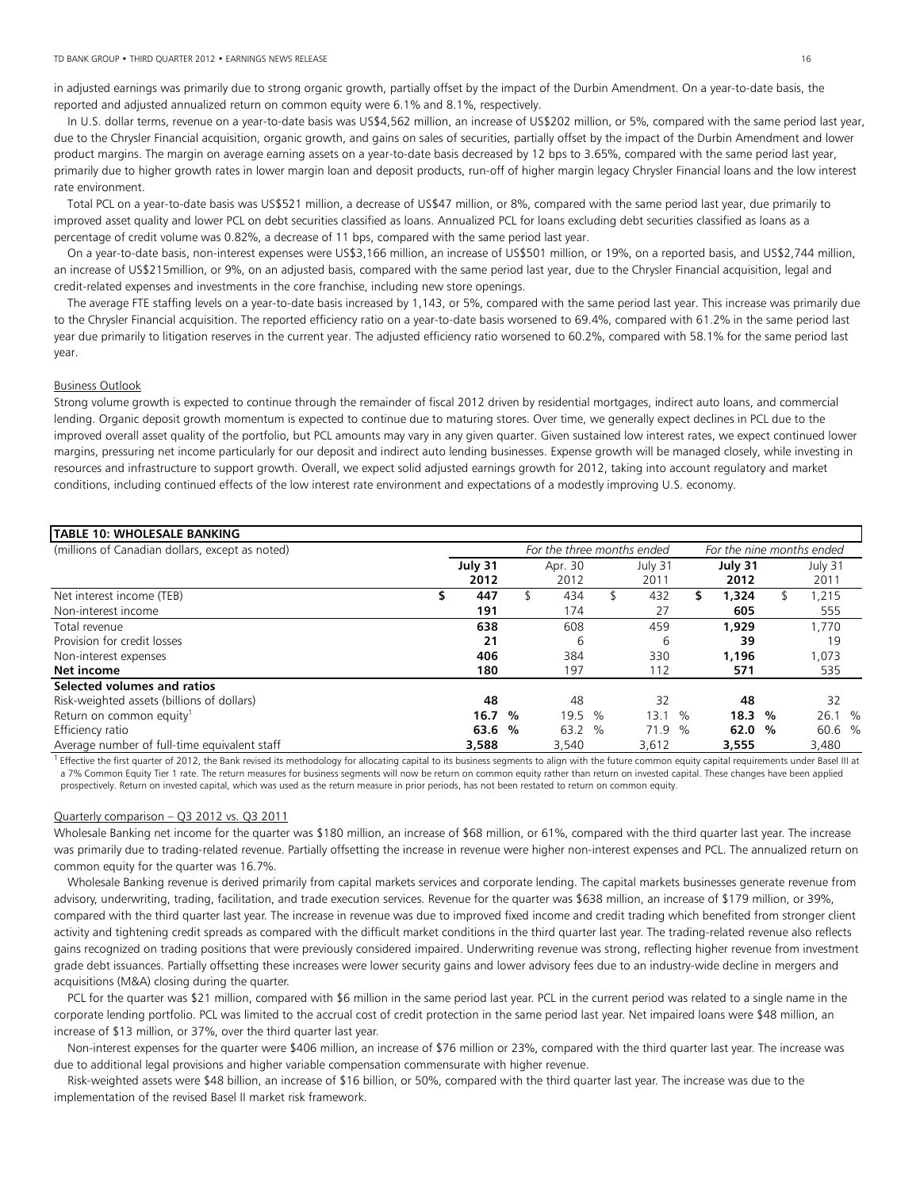in adjusted earnings was primarily due to strong organic growth, partially offset by the impact of the Durbin Amendment. On a year-to-date basis, the reported and adjusted annualized return on common equity were 6.1% and 8.1%, respectively.

 In U.S. dollar terms, revenue on a year-to-date basis was US\$4,562 million, an increase of US\$202 million, or 5%, compared with the same period last year, due to the Chrysler Financial acquisition, organic growth, and gains on sales of securities, partially offset by the impact of the Durbin Amendment and lower product margins. The margin on average earning assets on a year-to-date basis decreased by 12 bps to 3.65%, compared with the same period last year, primarily due to higher growth rates in lower margin loan and deposit products, run-off of higher margin legacy Chrysler Financial loans and the low interest rate environment.

 Total PCL on a year-to-date basis was US\$521 million, a decrease of US\$47 million, or 8%, compared with the same period last year, due primarily to improved asset quality and lower PCL on debt securities classified as loans. Annualized PCL for loans excluding debt securities classified as loans as a percentage of credit volume was 0.82%, a decrease of 11 bps, compared with the same period last year.

 On a year-to-date basis, non-interest expenses were US\$3,166 million, an increase of US\$501 million, or 19%, on a reported basis, and US\$2,744 million, an increase of US\$215million, or 9%, on an adjusted basis, compared with the same period last year, due to the Chrysler Financial acquisition, legal and credit-related expenses and investments in the core franchise, including new store openings.

 The average FTE staffing levels on a year-to-date basis increased by 1,143, or 5%, compared with the same period last year. This increase was primarily due to the Chrysler Financial acquisition. The reported efficiency ratio on a year-to-date basis worsened to 69.4%, compared with 61.2% in the same period last year due primarily to litigation reserves in the current year. The adjusted efficiency ratio worsened to 60.2%, compared with 58.1% for the same period last year.

#### Business Outlook

Strong volume growth is expected to continue through the remainder of fiscal 2012 driven by residential mortgages, indirect auto loans, and commercial lending. Organic deposit growth momentum is expected to continue due to maturing stores. Over time, we generally expect declines in PCL due to the improved overall asset quality of the portfolio, but PCL amounts may vary in any given quarter. Given sustained low interest rates, we expect continued lower margins, pressuring net income particularly for our deposit and indirect auto lending businesses. Expense growth will be managed closely, while investing in resources and infrastructure to support growth. Overall, we expect solid adjusted earnings growth for 2012, taking into account regulatory and market conditions, including continued effects of the low interest rate environment and expectations of a modestly improving U.S. economy.

#### **TABLE 10: WHOLESALE BANKING**

| (millions of Canadian dollars, except as noted) | For the three months ended |  |         |    |         | For the nine months ended |         |  |         |  |
|-------------------------------------------------|----------------------------|--|---------|----|---------|---------------------------|---------|--|---------|--|
|                                                 | July 31                    |  | Apr. 30 |    | July 31 |                           | July 31 |  | July 31 |  |
|                                                 | 2012                       |  | 2012    |    | 2011    |                           | 2012    |  | 2011    |  |
| Net interest income (TEB)                       | 447                        |  | 434     | S. | 432     |                           | 1,324   |  | 1.215   |  |
| Non-interest income                             | 191                        |  | 174     |    | 27      |                           | 605     |  | 555     |  |
| Total revenue                                   | 638                        |  | 608     |    | 459     |                           | 1.929   |  | 1.770   |  |
| Provision for credit losses                     | 21                         |  | 6       |    | 6       |                           | 39      |  | 19      |  |
| Non-interest expenses                           | 406                        |  | 384     |    | 330     |                           | 1.196   |  | 1,073   |  |
| Net income                                      | 180                        |  | 197     |    | 112     |                           | 571     |  | 535     |  |
| Selected volumes and ratios                     |                            |  |         |    |         |                           |         |  |         |  |
| Risk-weighted assets (billions of dollars)      | 48                         |  | 48      |    | 32      |                           | 48      |  | 32      |  |
| Return on common equity <sup>1</sup>            | 16.7%                      |  | 19.5 %  |    | 13.1    | $\%$                      | 18.3%   |  | 26.1%   |  |
| Efficiency ratio                                | 63.6%                      |  | 63.2%   |    | 71.9    | $\%$                      | 62.0%   |  | 60.6 %  |  |
| Average number of full-time equivalent staff    | 3,588                      |  | 3.540   |    | 3,612   |                           | 3,555   |  | 3,480   |  |

<sup>1</sup> Effective the first quarter of 2012, the Bank revised its methodology for allocating capital to its business segments to align with the future common equity capital requirements under Basel III at a 7% Common Equity Tier 1 rate. The return measures for business segments will now be return on common equity rather than return on invested capital. These changes have been applied prospectively. Return on invested capital, which was used as the return measure in prior periods, has not been restated to return on common equity.

#### Quarterly comparison – Q3 2012 vs. Q3 2011

Wholesale Banking net income for the quarter was \$180 million, an increase of \$68 million, or 61%, compared with the third quarter last year. The increase was primarily due to trading-related revenue. Partially offsetting the increase in revenue were higher non-interest expenses and PCL. The annualized return on common equity for the quarter was 16.7%.

 Wholesale Banking revenue is derived primarily from capital markets services and corporate lending. The capital markets businesses generate revenue from advisory, underwriting, trading, facilitation, and trade execution services. Revenue for the quarter was \$638 million, an increase of \$179 million, or 39%, compared with the third quarter last year. The increase in revenue was due to improved fixed income and credit trading which benefited from stronger client activity and tightening credit spreads as compared with the difficult market conditions in the third quarter last year. The trading-related revenue also reflects gains recognized on trading positions that were previously considered impaired. Underwriting revenue was strong, reflecting higher revenue from investment grade debt issuances. Partially offsetting these increases were lower security gains and lower advisory fees due to an industry-wide decline in mergers and acquisitions (M&A) closing during the quarter.

 PCL for the quarter was \$21 million, compared with \$6 million in the same period last year. PCL in the current period was related to a single name in the corporate lending portfolio. PCL was limited to the accrual cost of credit protection in the same period last year. Net impaired loans were \$48 million, an increase of \$13 million, or 37%, over the third quarter last year.

 Non-interest expenses for the quarter were \$406 million, an increase of \$76 million or 23%, compared with the third quarter last year. The increase was due to additional legal provisions and higher variable compensation commensurate with higher revenue.

 Risk-weighted assets were \$48 billion, an increase of \$16 billion, or 50%, compared with the third quarter last year. The increase was due to the implementation of the revised Basel II market risk framework.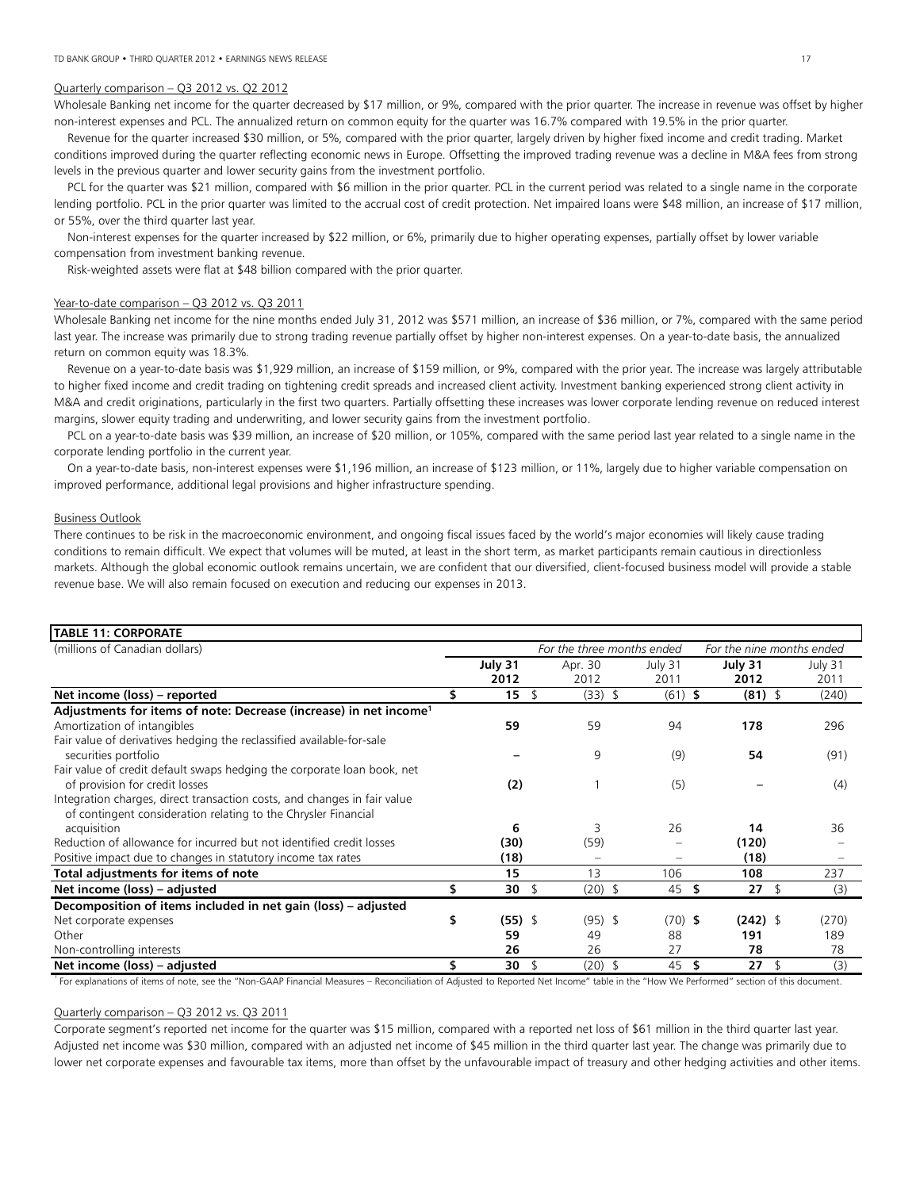## Quarterly comparison – Q3 2012 vs. Q2 2012

Wholesale Banking net income for the quarter decreased by \$17 million, or 9%, compared with the prior quarter. The increase in revenue was offset by higher non-interest expenses and PCL. The annualized return on common equity for the quarter was 16.7% compared with 19.5% in the prior quarter.

 Revenue for the quarter increased \$30 million, or 5%, compared with the prior quarter, largely driven by higher fixed income and credit trading. Market conditions improved during the quarter reflecting economic news in Europe. Offsetting the improved trading revenue was a decline in M&A fees from strong levels in the previous quarter and lower security gains from the investment portfolio.

PCL for the quarter was \$21 million, compared with \$6 million in the prior quarter. PCL in the current period was related to a single name in the corporate lending portfolio. PCL in the prior quarter was limited to the accrual cost of credit protection. Net impaired loans were \$48 million, an increase of \$17 million, or 55%, over the third quarter last year.

 Non-interest expenses for the quarter increased by \$22 million, or 6%, primarily due to higher operating expenses, partially offset by lower variable compensation from investment banking revenue.

Risk-weighted assets were flat at \$48 billion compared with the prior quarter.

#### Year-to-date comparison - Q3 2012 vs. Q3 2011

Wholesale Banking net income for the nine months ended July 31, 2012 was \$571 million, an increase of \$36 million, or 7%, compared with the same period last year. The increase was primarily due to strong trading revenue partially offset by higher non-interest expenses. On a year-to-date basis, the annualized return on common equity was 18.3%.

 Revenue on a year-to-date basis was \$1,929 million, an increase of \$159 million, or 9%, compared with the prior year. The increase was largely attributable to higher fixed income and credit trading on tightening credit spreads and increased client activity. Investment banking experienced strong client activity in M&A and credit originations, particularly in the first two quarters. Partially offsetting these increases was lower corporate lending revenue on reduced interest margins, slower equity trading and underwriting, and lower security gains from the investment portfolio.

 PCL on a year-to-date basis was \$39 million, an increase of \$20 million, or 105%, compared with the same period last year related to a single name in the corporate lending portfolio in the current year.

 On a year-to-date basis, non-interest expenses were \$1,196 million, an increase of \$123 million, or 11%, largely due to higher variable compensation on improved performance, additional legal provisions and higher infrastructure spending.

## Business Outlook

There continues to be risk in the macroeconomic environment, and ongoing fiscal issues faced by the world's major economies will likely cause trading conditions to remain difficult. We expect that volumes will be muted, at least in the short term, as market participants remain cautious in directionless markets. Although the global economic outlook remains uncertain, we are confident that our diversified, client-focused business model will provide a stable revenue base. We will also remain focused on execution and reducing our expenses in 2013.

| <b>TABLE 11: CORPORATE</b>                                                    |   |           |    |                            |           |                           |           |  |  |  |
|-------------------------------------------------------------------------------|---|-----------|----|----------------------------|-----------|---------------------------|-----------|--|--|--|
| (millions of Canadian dollars)                                                |   |           |    | For the three months ended |           | For the nine months ended |           |  |  |  |
|                                                                               |   | July 31   |    | Apr. 30                    | July 31   | July 31                   | July 31   |  |  |  |
|                                                                               |   | 2012      |    | 2012                       | 2011      | 2012                      | 2011      |  |  |  |
| Net income (loss) - reported                                                  |   | 15        | \$ | $(33)$ \$                  | $(61)$ \$ | $(81)$ \$                 | (240)     |  |  |  |
| Adjustments for items of note: Decrease (increase) in net income <sup>1</sup> |   |           |    |                            |           |                           |           |  |  |  |
| Amortization of intangibles                                                   |   | 59        |    | 59                         | 94        | 178                       | 296       |  |  |  |
| Fair value of derivatives hedging the reclassified available-for-sale         |   |           |    |                            |           |                           |           |  |  |  |
| securities portfolio                                                          |   |           |    | 9                          | (9)       | 54                        | (91)      |  |  |  |
| Fair value of credit default swaps hedging the corporate loan book, net       |   |           |    |                            |           |                           |           |  |  |  |
| of provision for credit losses                                                |   | (2)       |    |                            | (5)       |                           | (4)       |  |  |  |
| Integration charges, direct transaction costs, and changes in fair value      |   |           |    |                            |           |                           |           |  |  |  |
| of contingent consideration relating to the Chrysler Financial                |   |           |    |                            |           |                           |           |  |  |  |
| acquisition                                                                   |   | 6         |    | 3                          | 26        | 14                        | 36        |  |  |  |
| Reduction of allowance for incurred but not identified credit losses          |   | (30)      |    | (59)                       |           | (120)                     |           |  |  |  |
| Positive impact due to changes in statutory income tax rates                  |   | (18)      |    |                            |           | (18)                      |           |  |  |  |
| Total adjustments for items of note                                           |   | 15        |    | 13                         | 106       | 108                       | 237       |  |  |  |
| Net income (loss) – adjusted                                                  |   | 30        | \$ | $(20)$ \$                  | 45        | 27<br>S                   | (3)<br>-S |  |  |  |
| Decomposition of items included in net gain (loss) – adjusted                 |   |           |    |                            |           |                           |           |  |  |  |
| Net corporate expenses                                                        | S | $(55)$ \$ |    | $(95)$ \$                  | $(70)$ \$ | $(242)$ \$                | (270)     |  |  |  |
| Other                                                                         |   | 59        |    | 49                         | 88        | 191                       | 189       |  |  |  |
| Non-controlling interests                                                     |   | 26        |    | 26                         | 27        | 78                        | 78        |  |  |  |
| Net income (loss) – adjusted                                                  |   | 30        | -S | $(20)$ \$                  | 45        | 27<br>S                   | (3)       |  |  |  |

<sup>1</sup> For explanations of items of note, see the "Non-GAAP Financial Measures – Reconciliation of Adjusted to Reported Net Income" table in the "How We Performed" section of this document.

#### Quarterly comparison – Q3 2012 vs. Q3 2011

Corporate segment's reported net income for the quarter was \$15 million, compared with a reported net loss of \$61 million in the third quarter last year. Adjusted net income was \$30 million, compared with an adjusted net income of \$45 million in the third quarter last year. The change was primarily due to lower net corporate expenses and favourable tax items, more than offset by the unfavourable impact of treasury and other hedging activities and other items.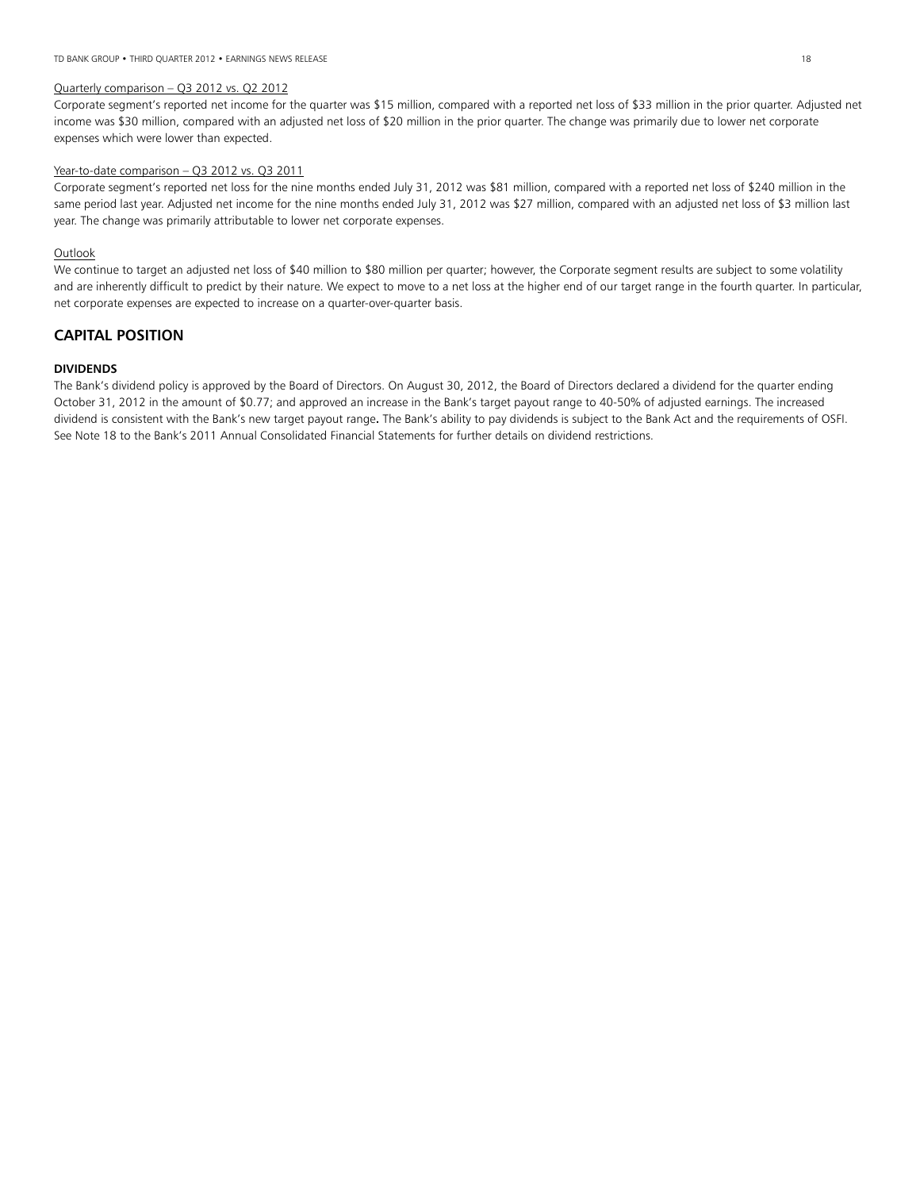#### TD BANK GROUP • THIRD QUARTER 2012 • EARNINGS NEWS RELEASE 18

# Quarterly comparison - Q3 2012 vs. Q2 2012

Corporate segment's reported net income for the quarter was \$15 million, compared with a reported net loss of \$33 million in the prior quarter. Adjusted net income was \$30 million, compared with an adjusted net loss of \$20 million in the prior quarter. The change was primarily due to lower net corporate expenses which were lower than expected.

## Year-to-date comparison – Q3 2012 vs. Q3 2011

Corporate segment's reported net loss for the nine months ended July 31, 2012 was \$81 million, compared with a reported net loss of \$240 million in the same period last year. Adjusted net income for the nine months ended July 31, 2012 was \$27 million, compared with an adjusted net loss of \$3 million last year. The change was primarily attributable to lower net corporate expenses.

#### **Outlook**

We continue to target an adjusted net loss of \$40 million to \$80 million per quarter; however, the Corporate segment results are subject to some volatility and are inherently difficult to predict by their nature. We expect to move to a net loss at the higher end of our target range in the fourth quarter. In particular, net corporate expenses are expected to increase on a quarter-over-quarter basis.

# **CAPITAL POSITION**

#### **DIVIDENDS**

The Bank's dividend policy is approved by the Board of Directors. On August 30, 2012, the Board of Directors declared a dividend for the quarter ending October 31, 2012 in the amount of \$0.77; and approved an increase in the Bank's target payout range to 40-50% of adjusted earnings. The increased dividend is consistent with the Bank's new target payout range**.** The Bank's ability to pay dividends is subject to the Bank Act and the requirements of OSFI. See Note 18 to the Bank's 2011 Annual Consolidated Financial Statements for further details on dividend restrictions.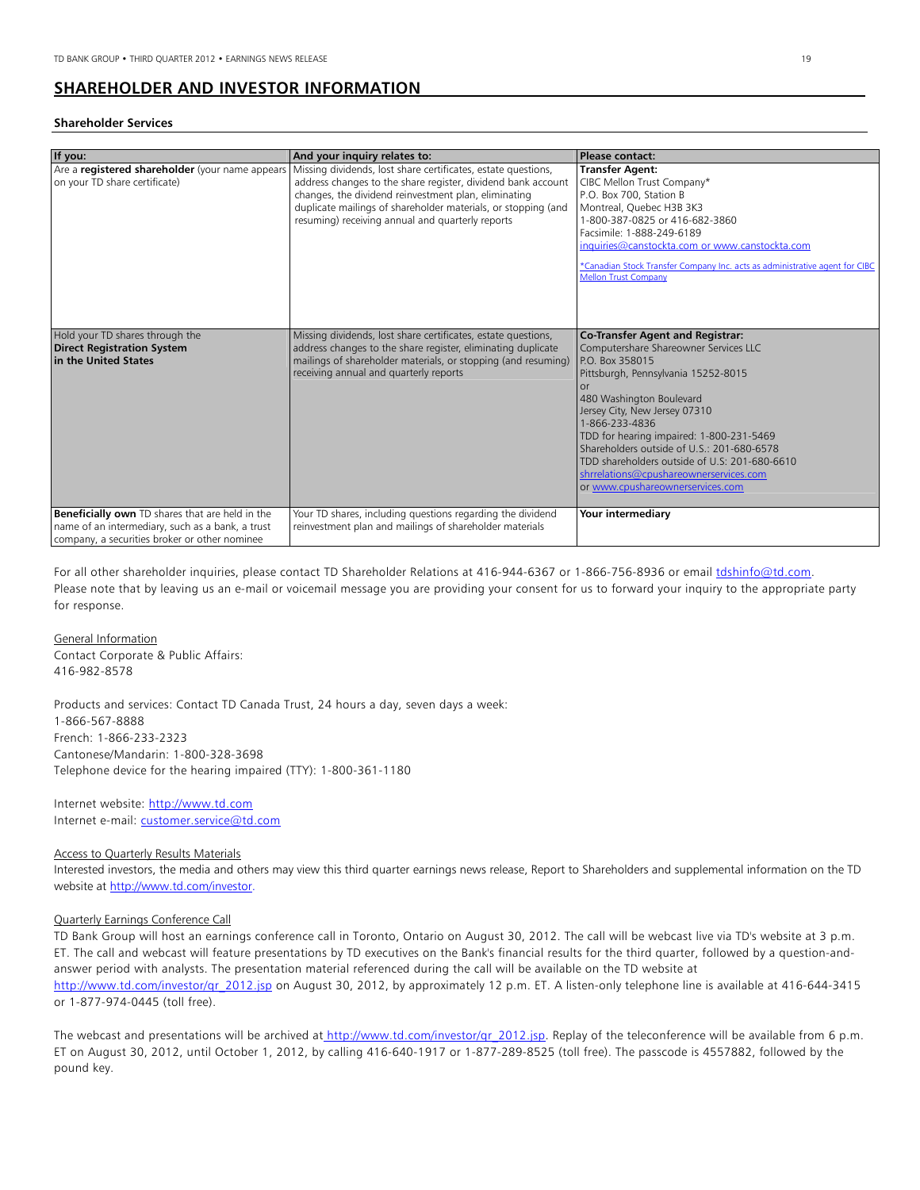# **SHAREHOLDER AND INVESTOR INFORMATION**

## **Shareholder Services**

| If you:                                                                                           | And your inquiry relates to:                                                                                                                                                                                                                                                                               | Please contact:                                                                                                                                                                                                                                                                                                                                                                                                                                          |
|---------------------------------------------------------------------------------------------------|------------------------------------------------------------------------------------------------------------------------------------------------------------------------------------------------------------------------------------------------------------------------------------------------------------|----------------------------------------------------------------------------------------------------------------------------------------------------------------------------------------------------------------------------------------------------------------------------------------------------------------------------------------------------------------------------------------------------------------------------------------------------------|
| Are a registered shareholder (your name appears<br>on your TD share certificate)                  | Missing dividends, lost share certificates, estate questions,<br>address changes to the share register, dividend bank account<br>changes, the dividend reinvestment plan, eliminating<br>duplicate mailings of shareholder materials, or stopping (and<br>resuming) receiving annual and quarterly reports | <b>Transfer Agent:</b><br>CIBC Mellon Trust Company*<br>P.O. Box 700, Station B<br>Montreal, Quebec H3B 3K3<br>1-800-387-0825 or 416-682-3860<br>Facsimile: 1-888-249-6189<br>inquiries@canstockta.com or www.canstockta.com<br>*Canadian Stock Transfer Company Inc. acts as administrative agent for CIBC<br><b>Mellon Trust Company</b>                                                                                                               |
| Hold your TD shares through the<br><b>Direct Registration System</b><br>in the United States      | Missing dividends, lost share certificates, estate questions,<br>address changes to the share register, eliminating duplicate<br>mailings of shareholder materials, or stopping (and resuming)<br>receiving annual and quarterly reports                                                                   | <b>Co-Transfer Agent and Registrar:</b><br>Computershare Shareowner Services LLC<br>P.O. Box 358015<br>Pittsburgh, Pennsylvania 15252-8015<br>or<br>480 Washington Boulevard<br>Jersey City, New Jersey 07310<br>1-866-233-4836<br>TDD for hearing impaired: 1-800-231-5469<br>Shareholders outside of U.S.: 201-680-6578<br>TDD shareholders outside of U.S: 201-680-6610<br>shrrelations@cpushareownerservices.com<br>or www.cpushareownerservices.com |
| <b>Beneficially own</b> TD shares that are held in the                                            | Your TD shares, including questions regarding the dividend                                                                                                                                                                                                                                                 | Your intermediary                                                                                                                                                                                                                                                                                                                                                                                                                                        |
| name of an intermediary, such as a bank, a trust<br>company, a securities broker or other nominee | reinvestment plan and mailings of shareholder materials                                                                                                                                                                                                                                                    |                                                                                                                                                                                                                                                                                                                                                                                                                                                          |

For all other shareholder inquiries, please contact TD Shareholder Relations at 416-944-6367 or 1-866-756-8936 or email tdshinfo@td.com. Please note that by leaving us an e-mail or voicemail message you are providing your consent for us to forward your inquiry to the appropriate party for response.

## General Information

Contact Corporate & Public Affairs: 416-982-8578

Products and services: Contact TD Canada Trust, 24 hours a day, seven days a week: 1-866-567-8888 French: 1-866-233-2323 Cantonese/Mandarin: 1-800-328-3698 Telephone device for the hearing impaired (TTY): 1-800-361-1180

Internet website: http://www.td.com Internet e-mail: customer.service@td.com

## Access to Quarterly Results Materials

Interested investors, the media and others may view this third quarter earnings news release, Report to Shareholders and supplemental information on the TD website at http://www.td.com/investor.

#### Quarterly Earnings Conference Call

TD Bank Group will host an earnings conference call in Toronto, Ontario on August 30, 2012. The call will be webcast live via TD's website at 3 p.m. ET. The call and webcast will feature presentations by TD executives on the Bank's financial results for the third quarter, followed by a question-andanswer period with analysts. The presentation material referenced during the call will be available on the TD website at http://www.td.com/investor/qr\_2012.jsp on August 30, 2012, by approximately 12 p.m. ET. A listen-only telephone line is available at 416-644-3415 or 1-877-974-0445 (toll free).

The webcast and presentations will be archived at http://www.td.com/investor/gr\_2012.jsp. Replay of the teleconference will be available from 6 p.m. ET on August 30, 2012, until October 1, 2012, by calling 416-640-1917 or 1-877-289-8525 (toll free). The passcode is 4557882, followed by the pound key.